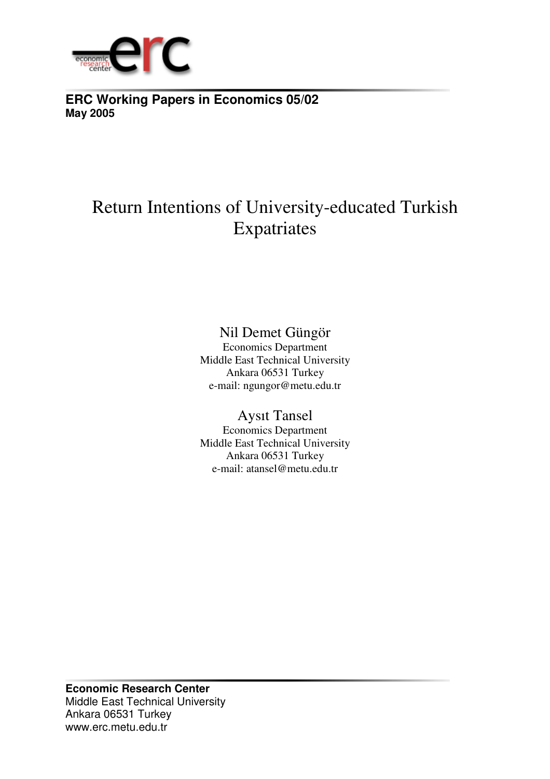

**ERC Working Papers in Economics 05/02 May 2005**

# Return Intentions of University-educated Turkish Expatriates

# Nil Demet Güngör

Economics Department Middle East Technical University Ankara 06531 Turkey e-mail: ngungor@metu.edu.tr

Aysıt Tansel Economics Department Middle East Technical University Ankara 06531 Turkey e-mail: atansel@metu.edu.tr

**Economic Research Center** Middle East Technical University Ankara 06531 Turkey www.erc.metu.edu.tr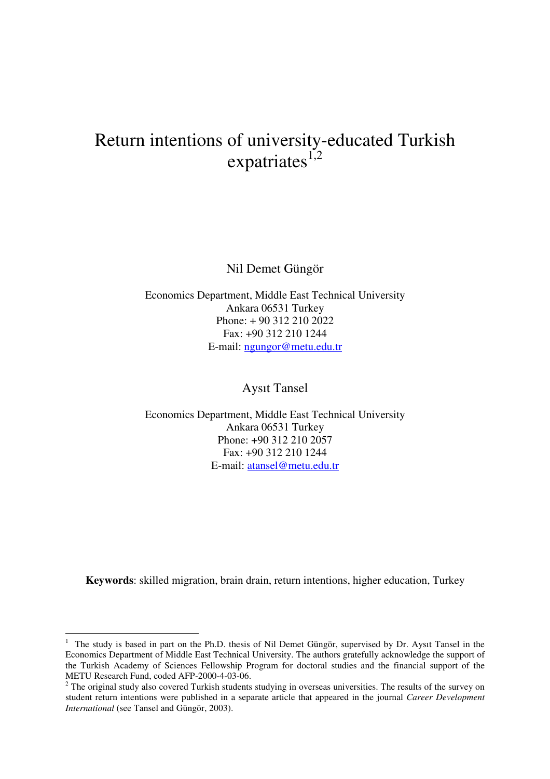# Return intentions of university-educated Turkish expatriates<sup>1,2</sup>

Nil Demet Güngör

Economics Department, Middle East Technical University Ankara 06531 Turkey Phone: + 90 312 210 2022 Fax: +90 312 210 1244 E-mail: ngungor@metu.edu.tr

Aysıt Tansel

Economics Department, Middle East Technical University Ankara 06531 Turkey Phone: +90 312 210 2057 Fax: +90 312 210 1244 E-mail: atansel@metu.edu.tr

**Keywords**: skilled migration, brain drain, return intentions, higher education, Turkey

<sup>1</sup> The study is based in part on the Ph.D. thesis of Nil Demet Güngör, supervised by Dr. Aysıt Tansel in the Economics Department of Middle East Technical University. The authors gratefully acknowledge the support of the Turkish Academy of Sciences Fellowship Program for doctoral studies and the financial support of the METU Research Fund, coded AFP-2000-4-03-06.

 $2$  The original study also covered Turkish students studying in overseas universities. The results of the survey on student return intentions were published in a separate article that appeared in the journal *Career Development International* (see Tansel and Güngör, 2003).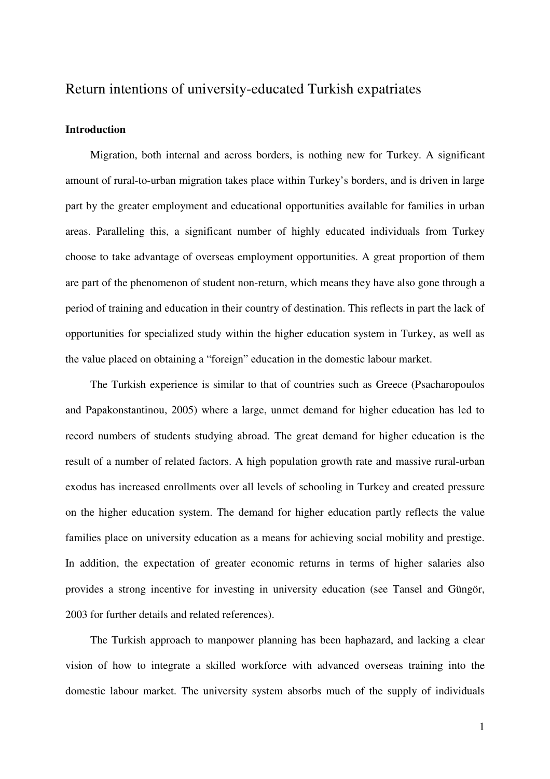# Return intentions of university-educated Turkish expatriates

## **Introduction**

Migration, both internal and across borders, is nothing new for Turkey. A significant amount of rural-to-urban migration takes place within Turkey's borders, and is driven in large part by the greater employment and educational opportunities available for families in urban areas. Paralleling this, a significant number of highly educated individuals from Turkey choose to take advantage of overseas employment opportunities. A great proportion of them are part of the phenomenon of student non-return, which means they have also gone through a period of training and education in their country of destination. This reflects in part the lack of opportunities for specialized study within the higher education system in Turkey, as well as the value placed on obtaining a "foreign" education in the domestic labour market.

The Turkish experience is similar to that of countries such as Greece (Psacharopoulos and Papakonstantinou, 2005) where a large, unmet demand for higher education has led to record numbers of students studying abroad. The great demand for higher education is the result of a number of related factors. A high population growth rate and massive rural-urban exodus has increased enrollments over all levels of schooling in Turkey and created pressure on the higher education system. The demand for higher education partly reflects the value families place on university education as a means for achieving social mobility and prestige. In addition, the expectation of greater economic returns in terms of higher salaries also provides a strong incentive for investing in university education (see Tansel and Güngör, 2003 for further details and related references).

The Turkish approach to manpower planning has been haphazard, and lacking a clear vision of how to integrate a skilled workforce with advanced overseas training into the domestic labour market. The university system absorbs much of the supply of individuals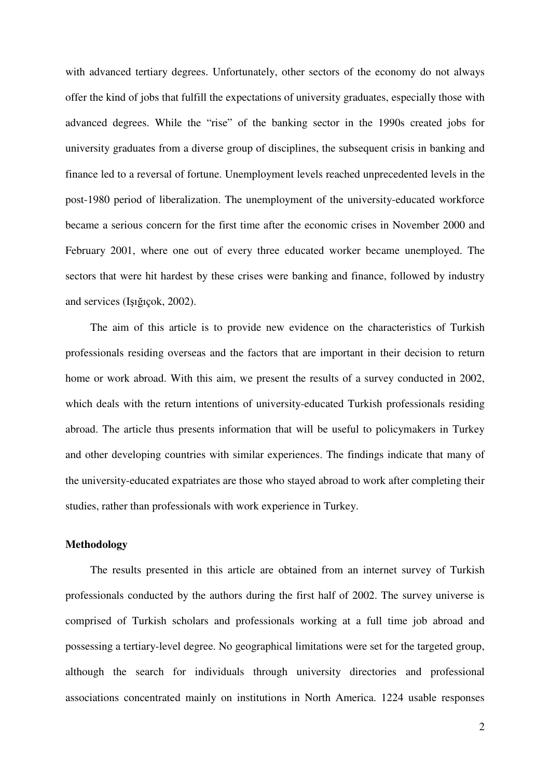with advanced tertiary degrees. Unfortunately, other sectors of the economy do not always offer the kind of jobs that fulfill the expectations of university graduates, especially those with advanced degrees. While the "rise" of the banking sector in the 1990s created jobs for university graduates from a diverse group of disciplines, the subsequent crisis in banking and finance led to a reversal of fortune. Unemployment levels reached unprecedented levels in the post-1980 period of liberalization. The unemployment of the university-educated workforce became a serious concern for the first time after the economic crises in November 2000 and February 2001, where one out of every three educated worker became unemployed. The sectors that were hit hardest by these crises were banking and finance, followed by industry and services (Işığıçok, 2002).

The aim of this article is to provide new evidence on the characteristics of Turkish professionals residing overseas and the factors that are important in their decision to return home or work abroad. With this aim, we present the results of a survey conducted in 2002, which deals with the return intentions of university-educated Turkish professionals residing abroad. The article thus presents information that will be useful to policymakers in Turkey and other developing countries with similar experiences. The findings indicate that many of the university-educated expatriates are those who stayed abroad to work after completing their studies, rather than professionals with work experience in Turkey.

## **Methodology**

The results presented in this article are obtained from an internet survey of Turkish professionals conducted by the authors during the first half of 2002. The survey universe is comprised of Turkish scholars and professionals working at a full time job abroad and possessing a tertiary-level degree. No geographical limitations were set for the targeted group, although the search for individuals through university directories and professional associations concentrated mainly on institutions in North America. 1224 usable responses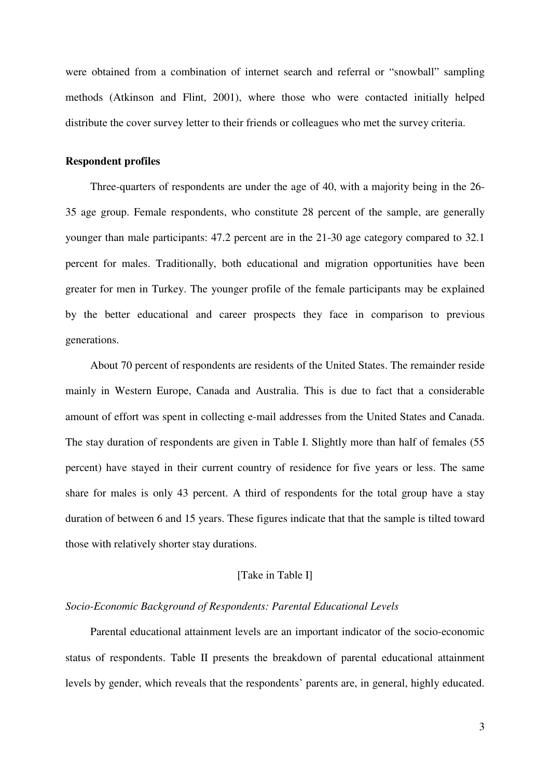were obtained from a combination of internet search and referral or "snowball" sampling methods (Atkinson and Flint, 2001), where those who were contacted initially helped distribute the cover survey letter to their friends or colleagues who met the survey criteria.

#### **Respondent profiles**

Three-quarters of respondents are under the age of 40, with a majority being in the 26- 35 age group. Female respondents, who constitute 28 percent of the sample, are generally younger than male participants: 47.2 percent are in the 21-30 age category compared to 32.1 percent for males. Traditionally, both educational and migration opportunities have been greater for men in Turkey. The younger profile of the female participants may be explained by the better educational and career prospects they face in comparison to previous generations.

About 70 percent of respondents are residents of the United States. The remainder reside mainly in Western Europe, Canada and Australia. This is due to fact that a considerable amount of effort was spent in collecting e-mail addresses from the United States and Canada. The stay duration of respondents are given in Table I. Slightly more than half of females (55 percent) have stayed in their current country of residence for five years or less. The same share for males is only 43 percent. A third of respondents for the total group have a stay duration of between 6 and 15 years. These figures indicate that that the sample is tilted toward those with relatively shorter stay durations.

#### [Take in Table I]

#### *Socio-Economic Background of Respondents: Parental Educational Levels*

Parental educational attainment levels are an important indicator of the socio-economic status of respondents. Table II presents the breakdown of parental educational attainment levels by gender, which reveals that the respondents' parents are, in general, highly educated.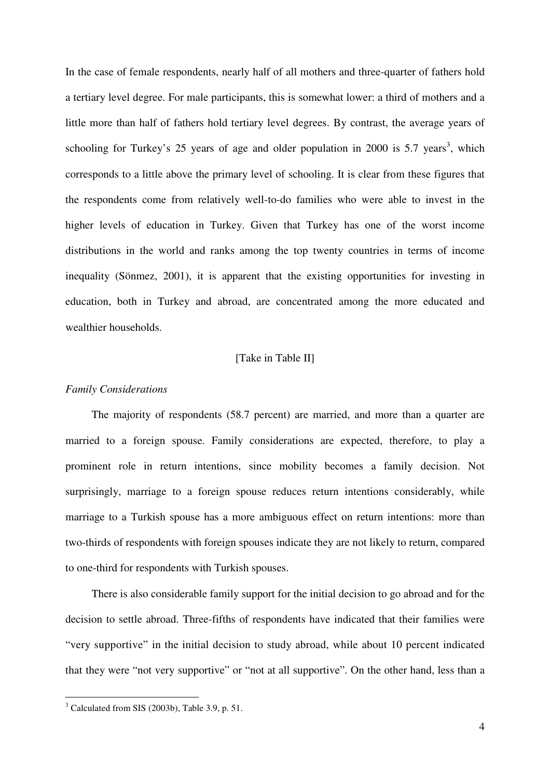In the case of female respondents, nearly half of all mothers and three-quarter of fathers hold a tertiary level degree. For male participants, this is somewhat lower: a third of mothers and a little more than half of fathers hold tertiary level degrees. By contrast, the average years of schooling for Turkey's 25 years of age and older population in 2000 is 5.7 years<sup>3</sup>, which corresponds to a little above the primary level of schooling. It is clear from these figures that the respondents come from relatively well-to-do families who were able to invest in the higher levels of education in Turkey. Given that Turkey has one of the worst income distributions in the world and ranks among the top twenty countries in terms of income inequality (Sönmez, 2001), it is apparent that the existing opportunities for investing in education, both in Turkey and abroad, are concentrated among the more educated and wealthier households.

#### [Take in Table II]

#### *Family Considerations*

The majority of respondents (58.7 percent) are married, and more than a quarter are married to a foreign spouse. Family considerations are expected, therefore, to play a prominent role in return intentions, since mobility becomes a family decision. Not surprisingly, marriage to a foreign spouse reduces return intentions considerably, while marriage to a Turkish spouse has a more ambiguous effect on return intentions: more than two-thirds of respondents with foreign spouses indicate they are not likely to return, compared to one-third for respondents with Turkish spouses.

There is also considerable family support for the initial decision to go abroad and for the decision to settle abroad. Three-fifths of respondents have indicated that their families were "very supportive" in the initial decision to study abroad, while about 10 percent indicated that they were "not very supportive" or "not at all supportive". On the other hand, less than a

 $3$  Calculated from SIS (2003b), Table 3.9, p. 51.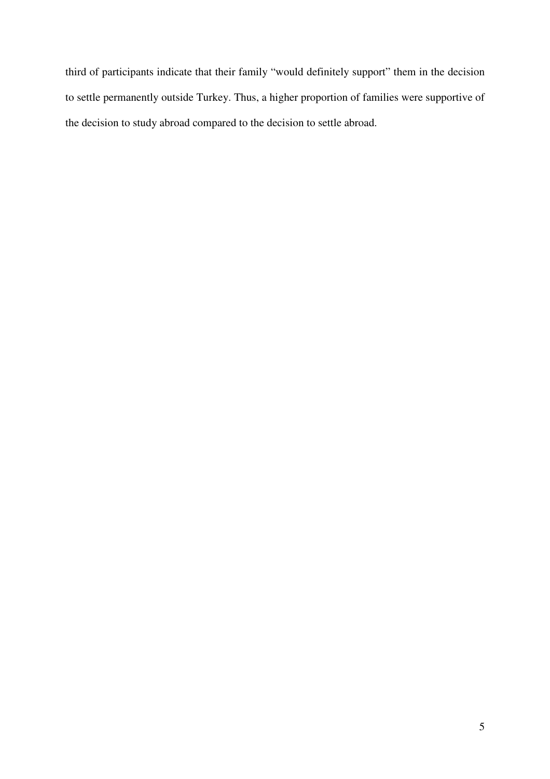third of participants indicate that their family "would definitely support" them in the decision to settle permanently outside Turkey. Thus, a higher proportion of families were supportive of the decision to study abroad compared to the decision to settle abroad.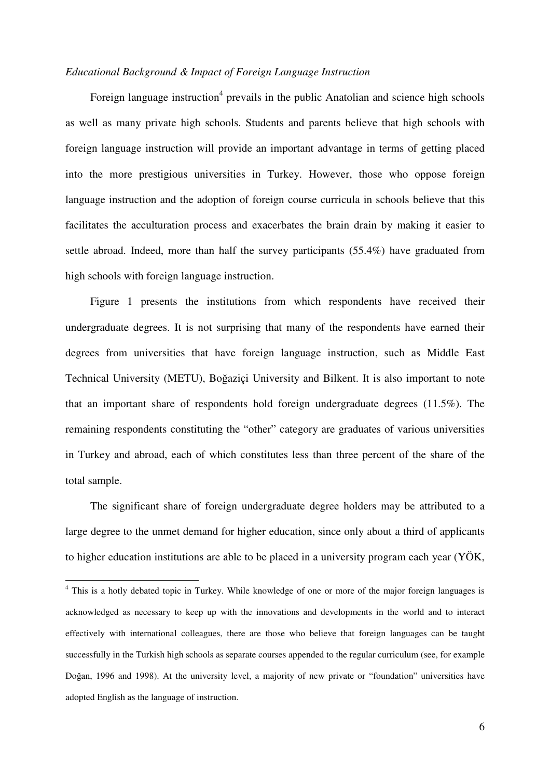# *Educational Background & Impact of Foreign Language Instruction*

Foreign language instruction<sup>4</sup> prevails in the public Anatolian and science high schools as well as many private high schools. Students and parents believe that high schools with foreign language instruction will provide an important advantage in terms of getting placed into the more prestigious universities in Turkey. However, those who oppose foreign language instruction and the adoption of foreign course curricula in schools believe that this facilitates the acculturation process and exacerbates the brain drain by making it easier to settle abroad. Indeed, more than half the survey participants (55.4%) have graduated from high schools with foreign language instruction.

Figure 1 presents the institutions from which respondents have received their undergraduate degrees. It is not surprising that many of the respondents have earned their degrees from universities that have foreign language instruction, such as Middle East Technical University (METU), Boğaziçi University and Bilkent. It is also important to note that an important share of respondents hold foreign undergraduate degrees (11.5%). The remaining respondents constituting the "other" category are graduates of various universities in Turkey and abroad, each of which constitutes less than three percent of the share of the total sample.

The significant share of foreign undergraduate degree holders may be attributed to a large degree to the unmet demand for higher education, since only about a third of applicants to higher education institutions are able to be placed in a university program each year (YÖK,

<sup>&</sup>lt;sup>4</sup> This is a hotly debated topic in Turkey. While knowledge of one or more of the major foreign languages is acknowledged as necessary to keep up with the innovations and developments in the world and to interact effectively with international colleagues, there are those who believe that foreign languages can be taught successfully in the Turkish high schools as separate courses appended to the regular curriculum (see, for example Doğan, 1996 and 1998). At the university level, a majority of new private or "foundation" universities have adopted English as the language of instruction.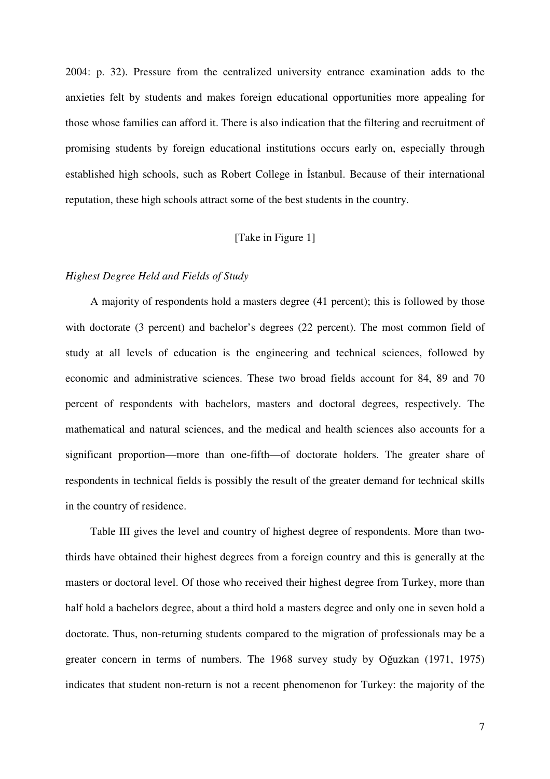2004: p. 32). Pressure from the centralized university entrance examination adds to the anxieties felt by students and makes foreign educational opportunities more appealing for those whose families can afford it. There is also indication that the filtering and recruitment of promising students by foreign educational institutions occurs early on, especially through established high schools, such as Robert College in Istanbul. Because of their international reputation, these high schools attract some of the best students in the country.

# [Take in Figure 1]

#### *Highest Degree Held and Fields of Study*

A majority of respondents hold a masters degree (41 percent); this is followed by those with doctorate (3 percent) and bachelor's degrees (22 percent). The most common field of study at all levels of education is the engineering and technical sciences, followed by economic and administrative sciences. These two broad fields account for 84, 89 and 70 percent of respondents with bachelors, masters and doctoral degrees, respectively. The mathematical and natural sciences, and the medical and health sciences also accounts for a significant proportion—more than one-fifth—of doctorate holders. The greater share of respondents in technical fields is possibly the result of the greater demand for technical skills in the country of residence.

Table III gives the level and country of highest degree of respondents. More than twothirds have obtained their highest degrees from a foreign country and this is generally at the masters or doctoral level. Of those who received their highest degree from Turkey, more than half hold a bachelors degree, about a third hold a masters degree and only one in seven hold a doctorate. Thus, non-returning students compared to the migration of professionals may be a greater concern in terms of numbers. The 1968 survey study by Oğuzkan (1971, 1975) indicates that student non-return is not a recent phenomenon for Turkey: the majority of the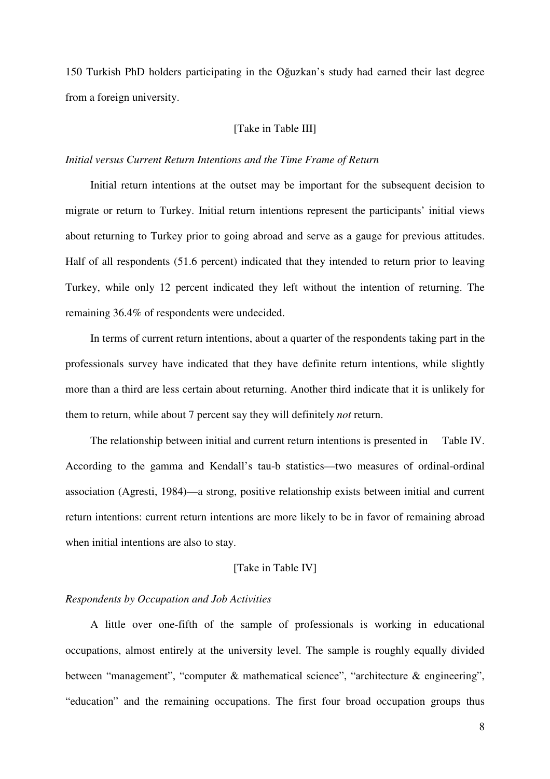150 Turkish PhD holders participating in the Oğuzkan's study had earned their last degree from a foreign university.

### [Take in Table III]

#### *Initial versus Current Return Intentions and the Time Frame of Return*

Initial return intentions at the outset may be important for the subsequent decision to migrate or return to Turkey. Initial return intentions represent the participants' initial views about returning to Turkey prior to going abroad and serve as a gauge for previous attitudes. Half of all respondents (51.6 percent) indicated that they intended to return prior to leaving Turkey, while only 12 percent indicated they left without the intention of returning. The remaining 36.4% of respondents were undecided.

In terms of current return intentions, about a quarter of the respondents taking part in the professionals survey have indicated that they have definite return intentions, while slightly more than a third are less certain about returning. Another third indicate that it is unlikely for them to return, while about 7 percent say they will definitely *not* return.

The relationship between initial and current return intentions is presented in Table IV. According to the gamma and Kendall's tau-b statistics—two measures of ordinal-ordinal association (Agresti, 1984)—a strong, positive relationship exists between initial and current return intentions: current return intentions are more likely to be in favor of remaining abroad when initial intentions are also to stay.

#### [Take in Table IV]

#### *Respondents by Occupation and Job Activities*

A little over one-fifth of the sample of professionals is working in educational occupations, almost entirely at the university level. The sample is roughly equally divided between "management", "computer & mathematical science", "architecture & engineering", "education" and the remaining occupations. The first four broad occupation groups thus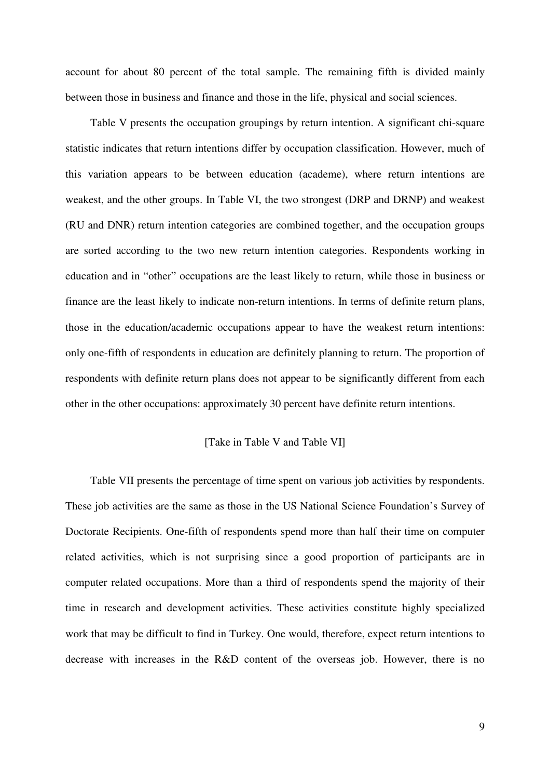account for about 80 percent of the total sample. The remaining fifth is divided mainly between those in business and finance and those in the life, physical and social sciences.

Table V presents the occupation groupings by return intention. A significant chi-square statistic indicates that return intentions differ by occupation classification. However, much of this variation appears to be between education (academe), where return intentions are weakest, and the other groups. In Table VI, the two strongest (DRP and DRNP) and weakest (RU and DNR) return intention categories are combined together, and the occupation groups are sorted according to the two new return intention categories. Respondents working in education and in "other" occupations are the least likely to return, while those in business or finance are the least likely to indicate non-return intentions. In terms of definite return plans, those in the education/academic occupations appear to have the weakest return intentions: only one-fifth of respondents in education are definitely planning to return. The proportion of respondents with definite return plans does not appear to be significantly different from each other in the other occupations: approximately 30 percent have definite return intentions.

# [Take in Table V and Table VI]

Table VII presents the percentage of time spent on various job activities by respondents. These job activities are the same as those in the US National Science Foundation's Survey of Doctorate Recipients. One-fifth of respondents spend more than half their time on computer related activities, which is not surprising since a good proportion of participants are in computer related occupations. More than a third of respondents spend the majority of their time in research and development activities. These activities constitute highly specialized work that may be difficult to find in Turkey. One would, therefore, expect return intentions to decrease with increases in the R&D content of the overseas job. However, there is no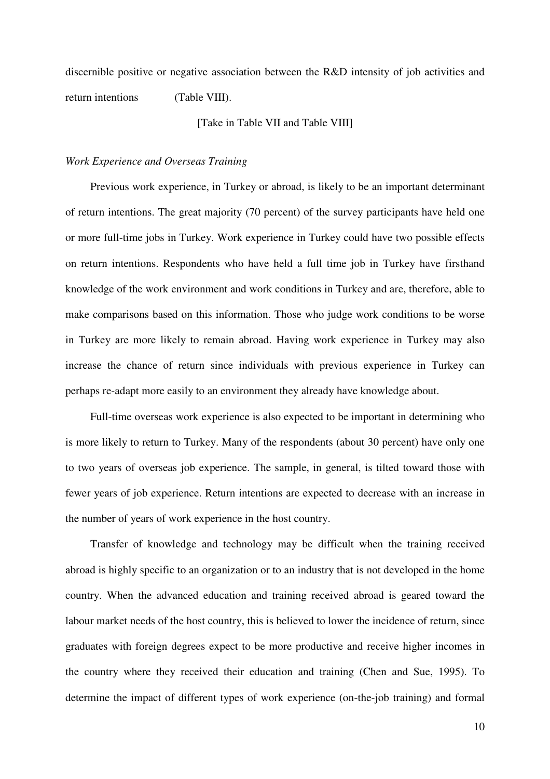discernible positive or negative association between the R&D intensity of job activities and return intentions (Table VIII).

[Take in Table VII and Table VIII]

#### *Work Experience and Overseas Training*

Previous work experience, in Turkey or abroad, is likely to be an important determinant of return intentions. The great majority (70 percent) of the survey participants have held one or more full-time jobs in Turkey. Work experience in Turkey could have two possible effects on return intentions. Respondents who have held a full time job in Turkey have firsthand knowledge of the work environment and work conditions in Turkey and are, therefore, able to make comparisons based on this information. Those who judge work conditions to be worse in Turkey are more likely to remain abroad. Having work experience in Turkey may also increase the chance of return since individuals with previous experience in Turkey can perhaps re-adapt more easily to an environment they already have knowledge about.

Full-time overseas work experience is also expected to be important in determining who is more likely to return to Turkey. Many of the respondents (about 30 percent) have only one to two years of overseas job experience. The sample, in general, is tilted toward those with fewer years of job experience. Return intentions are expected to decrease with an increase in the number of years of work experience in the host country.

Transfer of knowledge and technology may be difficult when the training received abroad is highly specific to an organization or to an industry that is not developed in the home country. When the advanced education and training received abroad is geared toward the labour market needs of the host country, this is believed to lower the incidence of return, since graduates with foreign degrees expect to be more productive and receive higher incomes in the country where they received their education and training (Chen and Sue, 1995). To determine the impact of different types of work experience (on-the-job training) and formal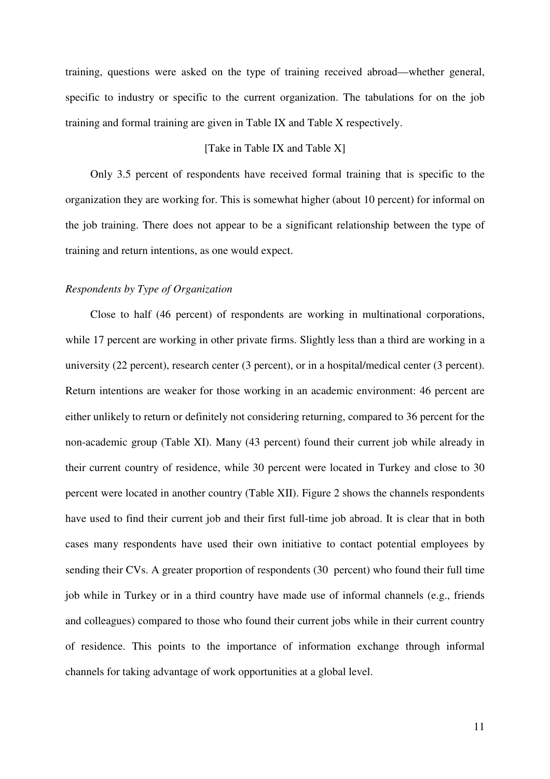training, questions were asked on the type of training received abroad—whether general, specific to industry or specific to the current organization. The tabulations for on the job training and formal training are given in Table IX and Table X respectively.

## [Take in Table IX and Table X]

Only 3.5 percent of respondents have received formal training that is specific to the organization they are working for. This is somewhat higher (about 10 percent) for informal on the job training. There does not appear to be a significant relationship between the type of training and return intentions, as one would expect.

# *Respondents by Type of Organization*

Close to half (46 percent) of respondents are working in multinational corporations, while 17 percent are working in other private firms. Slightly less than a third are working in a university (22 percent), research center (3 percent), or in a hospital/medical center (3 percent). Return intentions are weaker for those working in an academic environment: 46 percent are either unlikely to return or definitely not considering returning, compared to 36 percent for the non-academic group (Table XI). Many (43 percent) found their current job while already in their current country of residence, while 30 percent were located in Turkey and close to 30 percent were located in another country (Table XII). Figure 2 shows the channels respondents have used to find their current job and their first full-time job abroad. It is clear that in both cases many respondents have used their own initiative to contact potential employees by sending their CVs. A greater proportion of respondents (30 percent) who found their full time job while in Turkey or in a third country have made use of informal channels (e.g., friends and colleagues) compared to those who found their current jobs while in their current country of residence. This points to the importance of information exchange through informal channels for taking advantage of work opportunities at a global level.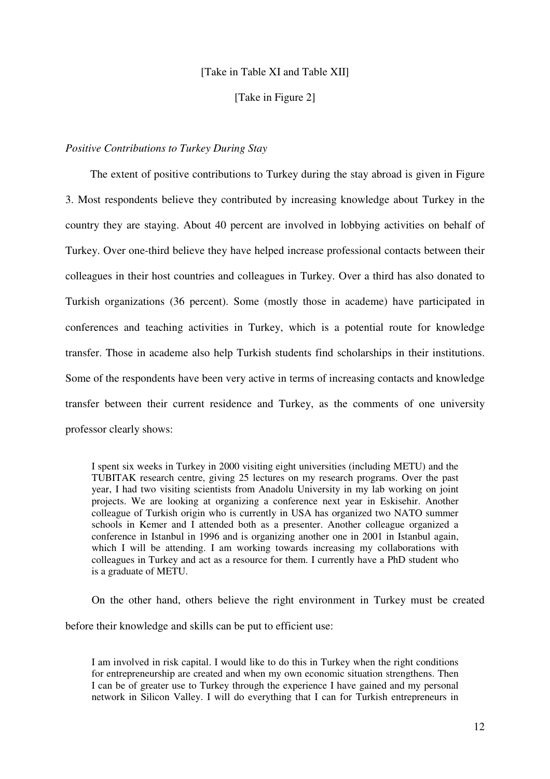# [Take in Table XI and Table XII]

[Take in Figure 2]

#### *Positive Contributions to Turkey During Stay*

The extent of positive contributions to Turkey during the stay abroad is given in Figure 3. Most respondents believe they contributed by increasing knowledge about Turkey in the country they are staying. About 40 percent are involved in lobbying activities on behalf of Turkey. Over one-third believe they have helped increase professional contacts between their colleagues in their host countries and colleagues in Turkey. Over a third has also donated to Turkish organizations (36 percent). Some (mostly those in academe) have participated in conferences and teaching activities in Turkey, which is a potential route for knowledge transfer. Those in academe also help Turkish students find scholarships in their institutions. Some of the respondents have been very active in terms of increasing contacts and knowledge transfer between their current residence and Turkey, as the comments of one university professor clearly shows:

I spent six weeks in Turkey in 2000 visiting eight universities (including METU) and the TUBITAK research centre, giving 25 lectures on my research programs. Over the past year, I had two visiting scientists from Anadolu University in my lab working on joint projects. We are looking at organizing a conference next year in Eskisehir. Another colleague of Turkish origin who is currently in USA has organized two NATO summer schools in Kemer and I attended both as a presenter. Another colleague organized a conference in Istanbul in 1996 and is organizing another one in 2001 in Istanbul again, which I will be attending. I am working towards increasing my collaborations with colleagues in Turkey and act as a resource for them. I currently have a PhD student who is a graduate of METU.

On the other hand, others believe the right environment in Turkey must be created before their knowledge and skills can be put to efficient use:

I am involved in risk capital. I would like to do this in Turkey when the right conditions for entrepreneurship are created and when my own economic situation strengthens. Then I can be of greater use to Turkey through the experience I have gained and my personal network in Silicon Valley. I will do everything that I can for Turkish entrepreneurs in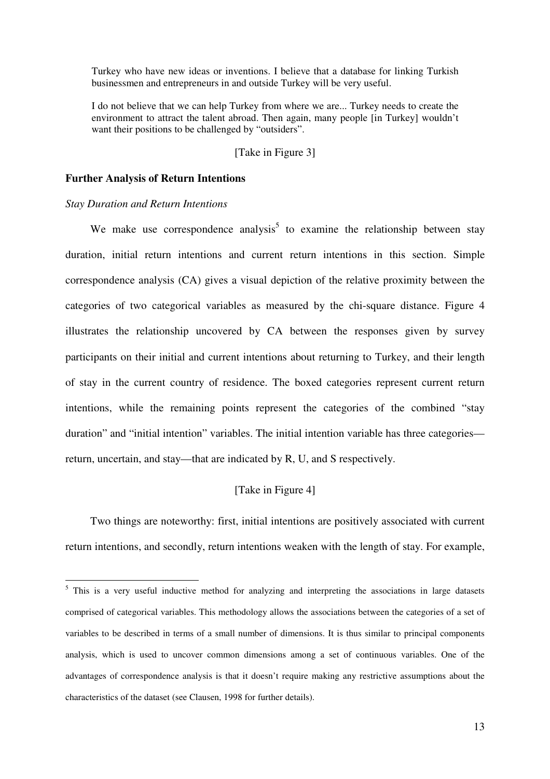Turkey who have new ideas or inventions. I believe that a database for linking Turkish businessmen and entrepreneurs in and outside Turkey will be very useful.

I do not believe that we can help Turkey from where we are... Turkey needs to create the environment to attract the talent abroad. Then again, many people [in Turkey] wouldn't want their positions to be challenged by "outsiders".

[Take in Figure 3]

#### **Further Analysis of Return Intentions**

#### *Stay Duration and Return Intentions*

We make use correspondence analysis<sup>5</sup> to examine the relationship between stay duration, initial return intentions and current return intentions in this section. Simple correspondence analysis (CA) gives a visual depiction of the relative proximity between the categories of two categorical variables as measured by the chi-square distance. Figure 4 illustrates the relationship uncovered by CA between the responses given by survey participants on their initial and current intentions about returning to Turkey, and their length of stay in the current country of residence. The boxed categories represent current return intentions, while the remaining points represent the categories of the combined "stay duration" and "initial intention" variables. The initial intention variable has three categories return, uncertain, and stay—that are indicated by R, U, and S respectively.

#### [Take in Figure 4]

Two things are noteworthy: first, initial intentions are positively associated with current return intentions, and secondly, return intentions weaken with the length of stay. For example,

<sup>&</sup>lt;sup>5</sup> This is a very useful inductive method for analyzing and interpreting the associations in large datasets comprised of categorical variables. This methodology allows the associations between the categories of a set of variables to be described in terms of a small number of dimensions. It is thus similar to principal components analysis, which is used to uncover common dimensions among a set of continuous variables. One of the advantages of correspondence analysis is that it doesn't require making any restrictive assumptions about the characteristics of the dataset (see Clausen, 1998 for further details).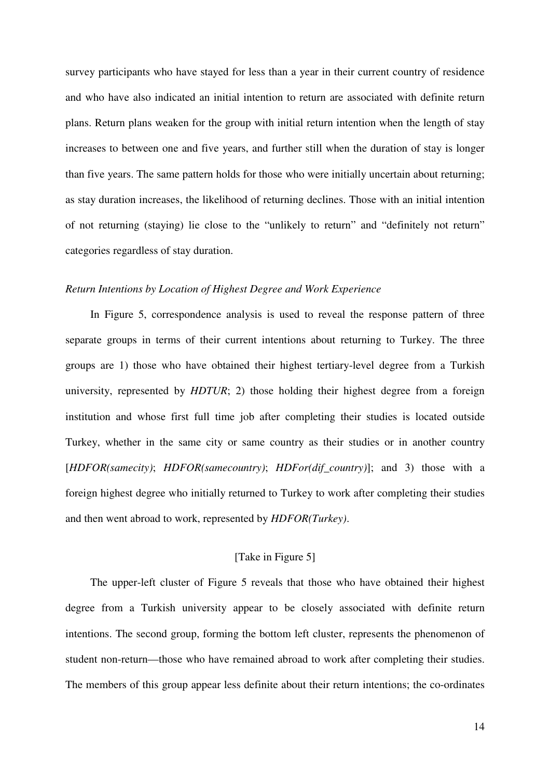survey participants who have stayed for less than a year in their current country of residence and who have also indicated an initial intention to return are associated with definite return plans. Return plans weaken for the group with initial return intention when the length of stay increases to between one and five years, and further still when the duration of stay is longer than five years. The same pattern holds for those who were initially uncertain about returning; as stay duration increases, the likelihood of returning declines. Those with an initial intention of not returning (staying) lie close to the "unlikely to return" and "definitely not return" categories regardless of stay duration.

# *Return Intentions by Location of Highest Degree and Work Experience*

In Figure 5, correspondence analysis is used to reveal the response pattern of three separate groups in terms of their current intentions about returning to Turkey. The three groups are 1) those who have obtained their highest tertiary-level degree from a Turkish university, represented by *HDTUR*; 2) those holding their highest degree from a foreign institution and whose first full time job after completing their studies is located outside Turkey, whether in the same city or same country as their studies or in another country [*HDFOR(samecity)*; *HDFOR(samecountry)*; *HDFor(dif\_country)*]; and 3) those with a foreign highest degree who initially returned to Turkey to work after completing their studies and then went abroad to work, represented by *HDFOR(Turkey)*.

# [Take in Figure 5]

The upper-left cluster of Figure 5 reveals that those who have obtained their highest degree from a Turkish university appear to be closely associated with definite return intentions. The second group, forming the bottom left cluster, represents the phenomenon of student non-return—those who have remained abroad to work after completing their studies. The members of this group appear less definite about their return intentions; the co-ordinates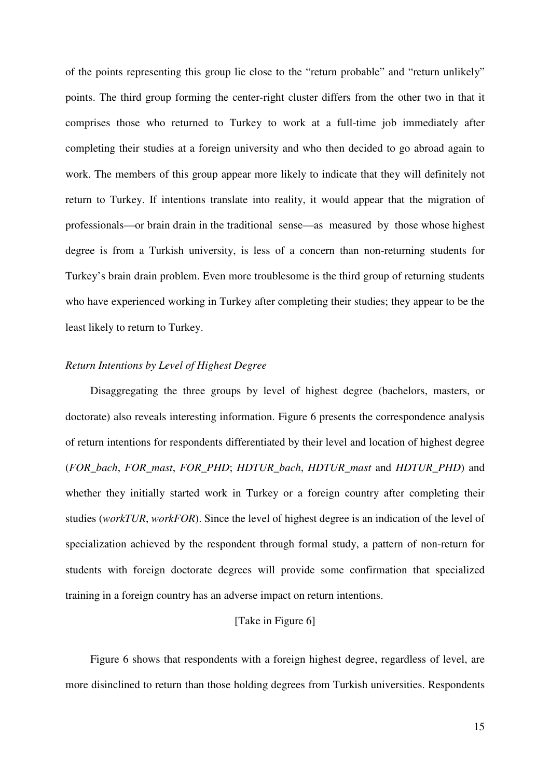of the points representing this group lie close to the "return probable" and "return unlikely" points. The third group forming the center-right cluster differs from the other two in that it comprises those who returned to Turkey to work at a full-time job immediately after completing their studies at a foreign university and who then decided to go abroad again to work. The members of this group appear more likely to indicate that they will definitely not return to Turkey. If intentions translate into reality, it would appear that the migration of professionals—or brain drain in the traditional sense—as measured by those whose highest degree is from a Turkish university, is less of a concern than non-returning students for Turkey's brain drain problem. Even more troublesome is the third group of returning students who have experienced working in Turkey after completing their studies; they appear to be the least likely to return to Turkey.

#### *Return Intentions by Level of Highest Degree*

Disaggregating the three groups by level of highest degree (bachelors, masters, or doctorate) also reveals interesting information. Figure 6 presents the correspondence analysis of return intentions for respondents differentiated by their level and location of highest degree (*FOR\_bach*, *FOR\_mast*, *FOR\_PHD*; *HDTUR\_bach*, *HDTUR\_mast* and *HDTUR\_PHD*) and whether they initially started work in Turkey or a foreign country after completing their studies (*workTUR*, *workFOR*). Since the level of highest degree is an indication of the level of specialization achieved by the respondent through formal study, a pattern of non-return for students with foreign doctorate degrees will provide some confirmation that specialized training in a foreign country has an adverse impact on return intentions.

# [Take in Figure 6]

Figure 6 shows that respondents with a foreign highest degree, regardless of level, are more disinclined to return than those holding degrees from Turkish universities. Respondents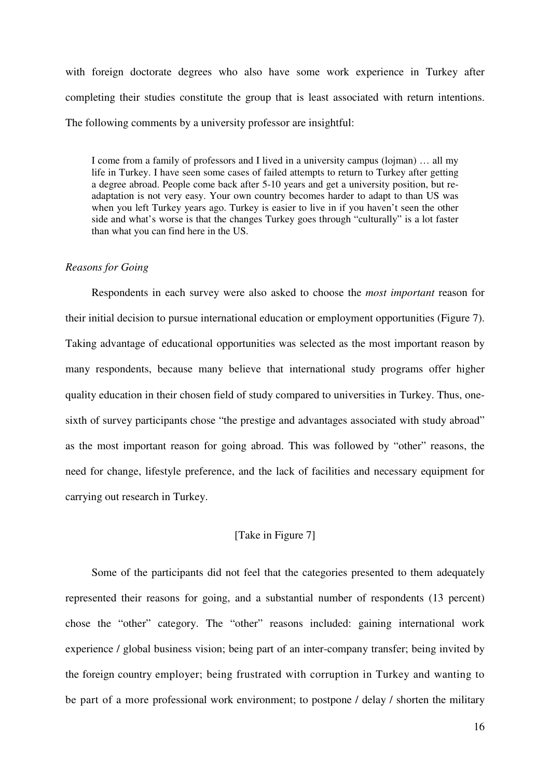with foreign doctorate degrees who also have some work experience in Turkey after completing their studies constitute the group that is least associated with return intentions. The following comments by a university professor are insightful:

I come from a family of professors and I lived in a university campus (lojman) … all my life in Turkey. I have seen some cases of failed attempts to return to Turkey after getting a degree abroad. People come back after 5-10 years and get a university position, but readaptation is not very easy. Your own country becomes harder to adapt to than US was when you left Turkey years ago. Turkey is easier to live in if you haven't seen the other side and what's worse is that the changes Turkey goes through "culturally" is a lot faster than what you can find here in the US.

#### *Reasons for Going*

Respondents in each survey were also asked to choose the *most important* reason for their initial decision to pursue international education or employment opportunities (Figure 7). Taking advantage of educational opportunities was selected as the most important reason by many respondents, because many believe that international study programs offer higher quality education in their chosen field of study compared to universities in Turkey. Thus, onesixth of survey participants chose "the prestige and advantages associated with study abroad" as the most important reason for going abroad. This was followed by "other" reasons, the need for change, lifestyle preference, and the lack of facilities and necessary equipment for carrying out research in Turkey.

#### [Take in Figure 7]

Some of the participants did not feel that the categories presented to them adequately represented their reasons for going, and a substantial number of respondents (13 percent) chose the "other" category. The "other" reasons included: gaining international work experience / global business vision; being part of an inter-company transfer; being invited by the foreign country employer; being frustrated with corruption in Turkey and wanting to be part of a more professional work environment; to postpone / delay / shorten the military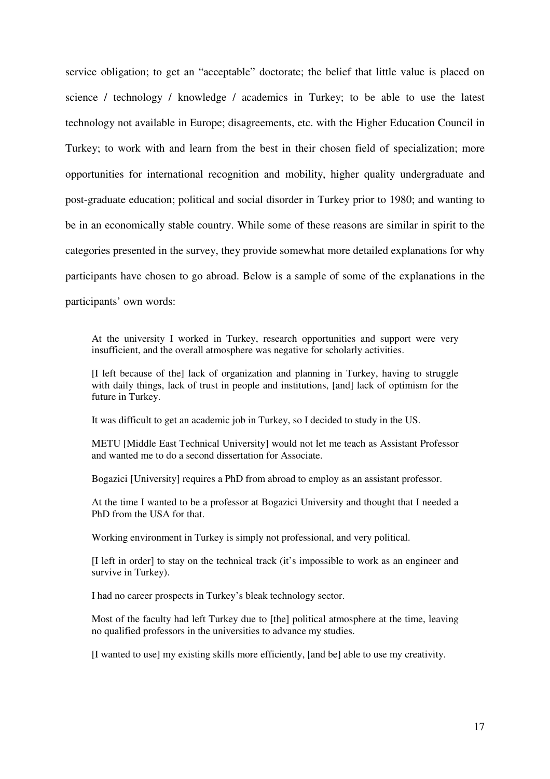service obligation; to get an "acceptable" doctorate; the belief that little value is placed on science / technology / knowledge / academics in Turkey; to be able to use the latest technology not available in Europe; disagreements, etc. with the Higher Education Council in Turkey; to work with and learn from the best in their chosen field of specialization; more opportunities for international recognition and mobility, higher quality undergraduate and post-graduate education; political and social disorder in Turkey prior to 1980; and wanting to be in an economically stable country. While some of these reasons are similar in spirit to the categories presented in the survey, they provide somewhat more detailed explanations for why participants have chosen to go abroad. Below is a sample of some of the explanations in the participants' own words:

At the university I worked in Turkey, research opportunities and support were very insufficient, and the overall atmosphere was negative for scholarly activities.

[I left because of the] lack of organization and planning in Turkey, having to struggle with daily things, lack of trust in people and institutions, [and] lack of optimism for the future in Turkey.

It was difficult to get an academic job in Turkey, so I decided to study in the US.

METU [Middle East Technical University] would not let me teach as Assistant Professor and wanted me to do a second dissertation for Associate.

Bogazici [University] requires a PhD from abroad to employ as an assistant professor.

At the time I wanted to be a professor at Bogazici University and thought that I needed a PhD from the USA for that.

Working environment in Turkey is simply not professional, and very political.

[I left in order] to stay on the technical track (it's impossible to work as an engineer and survive in Turkey).

I had no career prospects in Turkey's bleak technology sector.

Most of the faculty had left Turkey due to [the] political atmosphere at the time, leaving no qualified professors in the universities to advance my studies.

[I wanted to use] my existing skills more efficiently, [and be] able to use my creativity.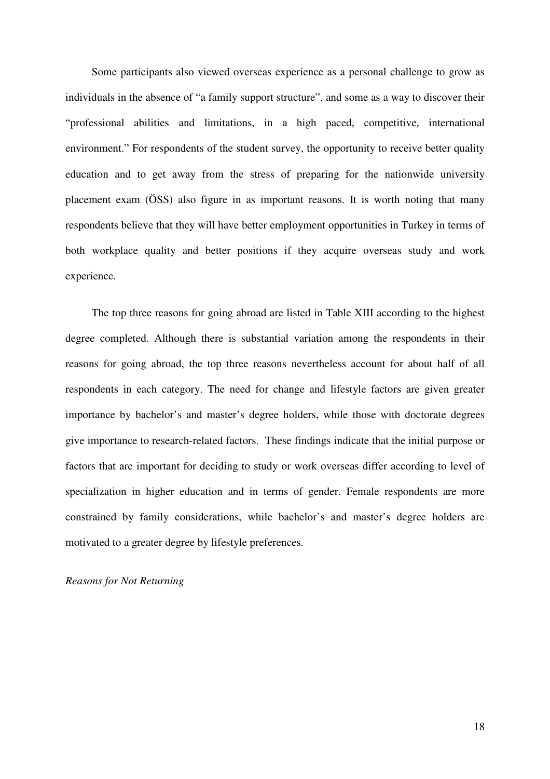Some participants also viewed overseas experience as a personal challenge to grow as individuals in the absence of "a family support structure", and some as a way to discover their "professional abilities and limitations, in a high paced, competitive, international environment." For respondents of the student survey, the opportunity to receive better quality education and to get away from the stress of preparing for the nationwide university placement exam (ÖSS) also figure in as important reasons. It is worth noting that many respondents believe that they will have better employment opportunities in Turkey in terms of both workplace quality and better positions if they acquire overseas study and work experience.

The top three reasons for going abroad are listed in Table XIII according to the highest degree completed. Although there is substantial variation among the respondents in their reasons for going abroad, the top three reasons nevertheless account for about half of all respondents in each category. The need for change and lifestyle factors are given greater importance by bachelor's and master's degree holders, while those with doctorate degrees give importance to research-related factors. These findings indicate that the initial purpose or factors that are important for deciding to study or work overseas differ according to level of specialization in higher education and in terms of gender. Female respondents are more constrained by family considerations, while bachelor's and master's degree holders are motivated to a greater degree by lifestyle preferences.

*Reasons for Not Returning*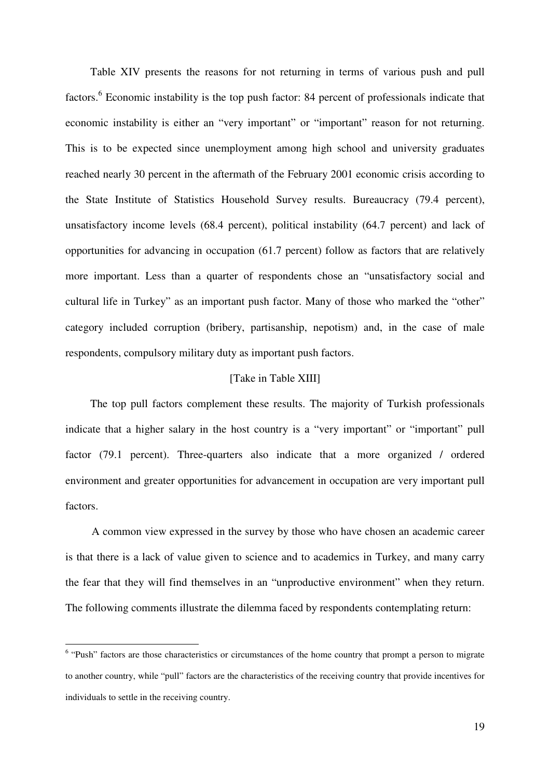Table XIV presents the reasons for not returning in terms of various push and pull factors.<sup>6</sup> Economic instability is the top push factor: 84 percent of professionals indicate that economic instability is either an "very important" or "important" reason for not returning. This is to be expected since unemployment among high school and university graduates reached nearly 30 percent in the aftermath of the February 2001 economic crisis according to the State Institute of Statistics Household Survey results. Bureaucracy (79.4 percent), unsatisfactory income levels (68.4 percent), political instability (64.7 percent) and lack of opportunities for advancing in occupation (61.7 percent) follow as factors that are relatively more important. Less than a quarter of respondents chose an "unsatisfactory social and cultural life in Turkey" as an important push factor. Many of those who marked the "other" category included corruption (bribery, partisanship, nepotism) and, in the case of male respondents, compulsory military duty as important push factors.

### [Take in Table XIII]

The top pull factors complement these results. The majority of Turkish professionals indicate that a higher salary in the host country is a "very important" or "important" pull factor (79.1 percent). Three-quarters also indicate that a more organized / ordered environment and greater opportunities for advancement in occupation are very important pull factors.

A common view expressed in the survey by those who have chosen an academic career is that there is a lack of value given to science and to academics in Turkey, and many carry the fear that they will find themselves in an "unproductive environment" when they return. The following comments illustrate the dilemma faced by respondents contemplating return:

<sup>&</sup>lt;sup>6</sup> "Push" factors are those characteristics or circumstances of the home country that prompt a person to migrate to another country, while "pull" factors are the characteristics of the receiving country that provide incentives for individuals to settle in the receiving country.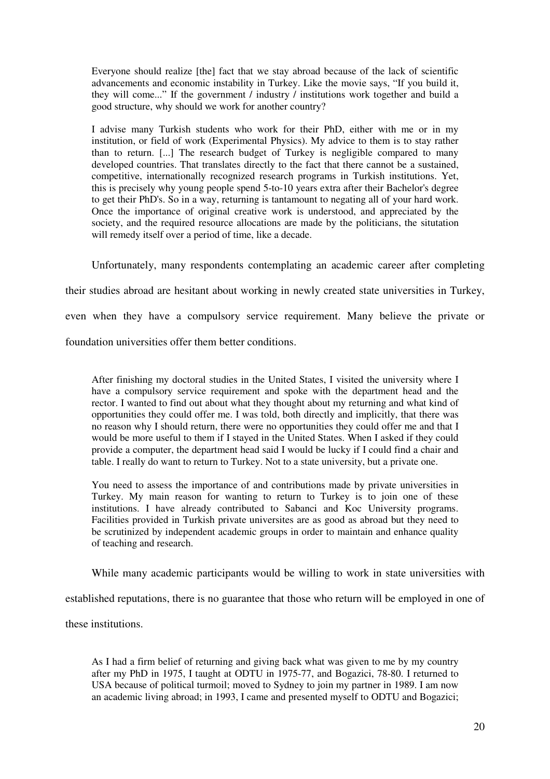Everyone should realize [the] fact that we stay abroad because of the lack of scientific advancements and economic instability in Turkey. Like the movie says, "If you build it, they will come..." If the government / industry / institutions work together and build a good structure, why should we work for another country?

I advise many Turkish students who work for their PhD, either with me or in my institution, or field of work (Experimental Physics). My advice to them is to stay rather than to return. [...] The research budget of Turkey is negligible compared to many developed countries. That translates directly to the fact that there cannot be a sustained, competitive, internationally recognized research programs in Turkish institutions. Yet, this is precisely why young people spend 5-to-10 years extra after their Bachelor's degree to get their PhD's. So in a way, returning is tantamount to negating all of your hard work. Once the importance of original creative work is understood, and appreciated by the society, and the required resource allocations are made by the politicians, the situtation will remedy itself over a period of time, like a decade.

Unfortunately, many respondents contemplating an academic career after completing

their studies abroad are hesitant about working in newly created state universities in Turkey,

even when they have a compulsory service requirement. Many believe the private or

foundation universities offer them better conditions.

After finishing my doctoral studies in the United States, I visited the university where I have a compulsory service requirement and spoke with the department head and the rector. I wanted to find out about what they thought about my returning and what kind of opportunities they could offer me. I was told, both directly and implicitly, that there was no reason why I should return, there were no opportunities they could offer me and that I would be more useful to them if I stayed in the United States. When I asked if they could provide a computer, the department head said I would be lucky if I could find a chair and table. I really do want to return to Turkey. Not to a state university, but a private one.

You need to assess the importance of and contributions made by private universities in Turkey. My main reason for wanting to return to Turkey is to join one of these institutions. I have already contributed to Sabanci and Koc University programs. Facilities provided in Turkish private universites are as good as abroad but they need to be scrutinized by independent academic groups in order to maintain and enhance quality of teaching and research.

While many academic participants would be willing to work in state universities with

established reputations, there is no guarantee that those who return will be employed in one of

these institutions.

As I had a firm belief of returning and giving back what was given to me by my country after my PhD in 1975, I taught at ODTU in 1975-77, and Bogazici, 78-80. I returned to USA because of political turmoil; moved to Sydney to join my partner in 1989. I am now an academic living abroad; in 1993, I came and presented myself to ODTU and Bogazici;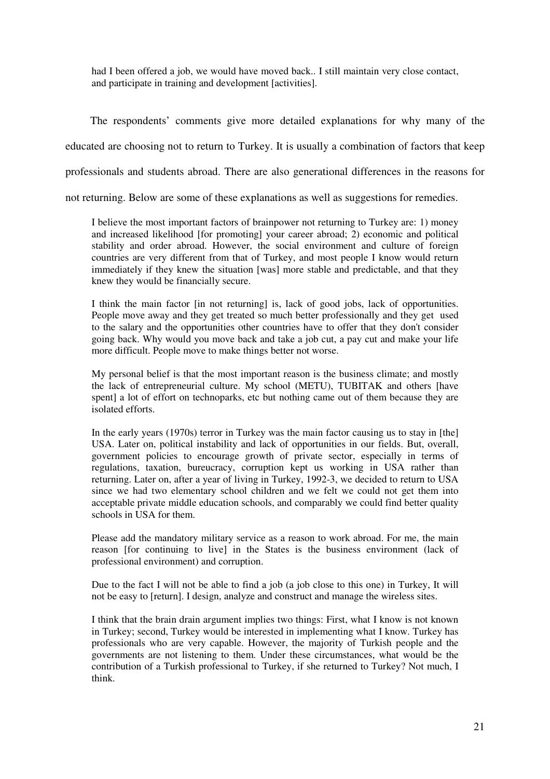had I been offered a job, we would have moved back.. I still maintain very close contact, and participate in training and development [activities].

The respondents' comments give more detailed explanations for why many of the educated are choosing not to return to Turkey. It is usually a combination of factors that keep professionals and students abroad. There are also generational differences in the reasons for

not returning. Below are some of these explanations as well as suggestions for remedies.

I believe the most important factors of brainpower not returning to Turkey are: 1) money and increased likelihood [for promoting] your career abroad; 2) economic and political stability and order abroad. However, the social environment and culture of foreign countries are very different from that of Turkey, and most people I know would return immediately if they knew the situation [was] more stable and predictable, and that they knew they would be financially secure.

I think the main factor [in not returning] is, lack of good jobs, lack of opportunities. People move away and they get treated so much better professionally and they get used to the salary and the opportunities other countries have to offer that they don't consider going back. Why would you move back and take a job cut, a pay cut and make your life more difficult. People move to make things better not worse.

My personal belief is that the most important reason is the business climate; and mostly the lack of entrepreneurial culture. My school (METU), TUBITAK and others [have spent] a lot of effort on technoparks, etc but nothing came out of them because they are isolated efforts.

In the early years (1970s) terror in Turkey was the main factor causing us to stay in [the] USA. Later on, political instability and lack of opportunities in our fields. But, overall, government policies to encourage growth of private sector, especially in terms of regulations, taxation, bureucracy, corruption kept us working in USA rather than returning. Later on, after a year of living in Turkey, 1992-3, we decided to return to USA since we had two elementary school children and we felt we could not get them into acceptable private middle education schools, and comparably we could find better quality schools in USA for them.

Please add the mandatory military service as a reason to work abroad. For me, the main reason [for continuing to live] in the States is the business environment (lack of professional environment) and corruption.

Due to the fact I will not be able to find a job (a job close to this one) in Turkey, It will not be easy to [return]. I design, analyze and construct and manage the wireless sites.

I think that the brain drain argument implies two things: First, what I know is not known in Turkey; second, Turkey would be interested in implementing what I know. Turkey has professionals who are very capable. However, the majority of Turkish people and the governments are not listening to them. Under these circumstances, what would be the contribution of a Turkish professional to Turkey, if she returned to Turkey? Not much, I think.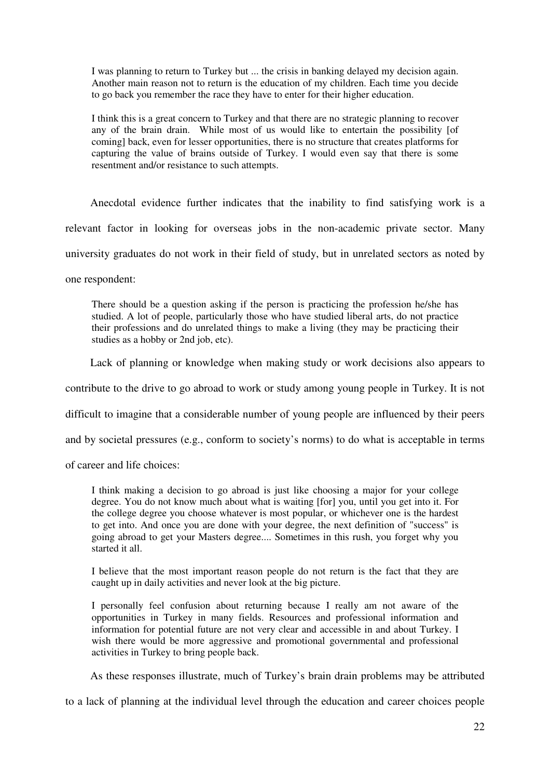I was planning to return to Turkey but ... the crisis in banking delayed my decision again. Another main reason not to return is the education of my children. Each time you decide to go back you remember the race they have to enter for their higher education.

I think this is a great concern to Turkey and that there are no strategic planning to recover any of the brain drain. While most of us would like to entertain the possibility [of coming] back, even for lesser opportunities, there is no structure that creates platforms for capturing the value of brains outside of Turkey. I would even say that there is some resentment and/or resistance to such attempts.

Anecdotal evidence further indicates that the inability to find satisfying work is a relevant factor in looking for overseas jobs in the non-academic private sector. Many

university graduates do not work in their field of study, but in unrelated sectors as noted by

one respondent:

There should be a question asking if the person is practicing the profession he/she has studied. A lot of people, particularly those who have studied liberal arts, do not practice their professions and do unrelated things to make a living (they may be practicing their studies as a hobby or 2nd job, etc).

Lack of planning or knowledge when making study or work decisions also appears to

contribute to the drive to go abroad to work or study among young people in Turkey. It is not

difficult to imagine that a considerable number of young people are influenced by their peers

and by societal pressures (e.g., conform to society's norms) to do what is acceptable in terms

of career and life choices:

I think making a decision to go abroad is just like choosing a major for your college degree. You do not know much about what is waiting [for] you, until you get into it. For the college degree you choose whatever is most popular, or whichever one is the hardest to get into. And once you are done with your degree, the next definition of "success" is going abroad to get your Masters degree.... Sometimes in this rush, you forget why you started it all.

I believe that the most important reason people do not return is the fact that they are caught up in daily activities and never look at the big picture.

I personally feel confusion about returning because I really am not aware of the opportunities in Turkey in many fields. Resources and professional information and information for potential future are not very clear and accessible in and about Turkey. I wish there would be more aggressive and promotional governmental and professional activities in Turkey to bring people back.

As these responses illustrate, much of Turkey's brain drain problems may be attributed

to a lack of planning at the individual level through the education and career choices people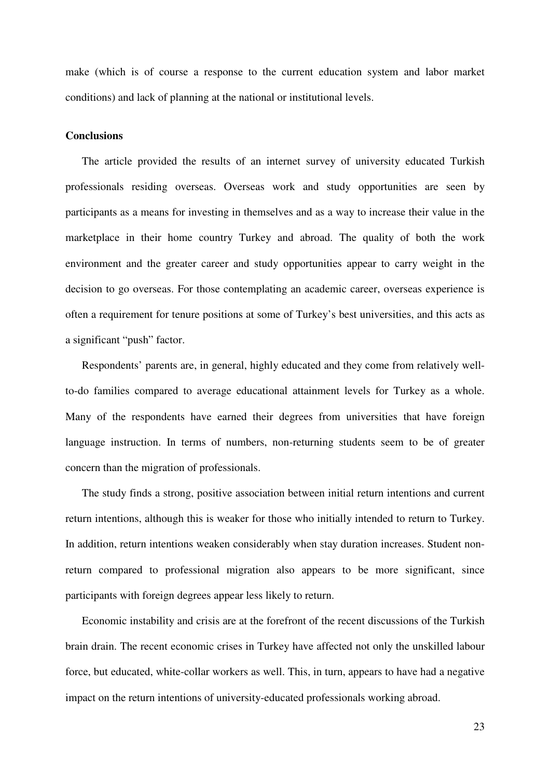make (which is of course a response to the current education system and labor market conditions) and lack of planning at the national or institutional levels.

#### **Conclusions**

The article provided the results of an internet survey of university educated Turkish professionals residing overseas. Overseas work and study opportunities are seen by participants as a means for investing in themselves and as a way to increase their value in the marketplace in their home country Turkey and abroad. The quality of both the work environment and the greater career and study opportunities appear to carry weight in the decision to go overseas. For those contemplating an academic career, overseas experience is often a requirement for tenure positions at some of Turkey's best universities, and this acts as a significant "push" factor.

Respondents' parents are, in general, highly educated and they come from relatively wellto-do families compared to average educational attainment levels for Turkey as a whole. Many of the respondents have earned their degrees from universities that have foreign language instruction. In terms of numbers, non-returning students seem to be of greater concern than the migration of professionals.

The study finds a strong, positive association between initial return intentions and current return intentions, although this is weaker for those who initially intended to return to Turkey. In addition, return intentions weaken considerably when stay duration increases. Student nonreturn compared to professional migration also appears to be more significant, since participants with foreign degrees appear less likely to return.

Economic instability and crisis are at the forefront of the recent discussions of the Turkish brain drain. The recent economic crises in Turkey have affected not only the unskilled labour force, but educated, white-collar workers as well. This, in turn, appears to have had a negative impact on the return intentions of university-educated professionals working abroad.

23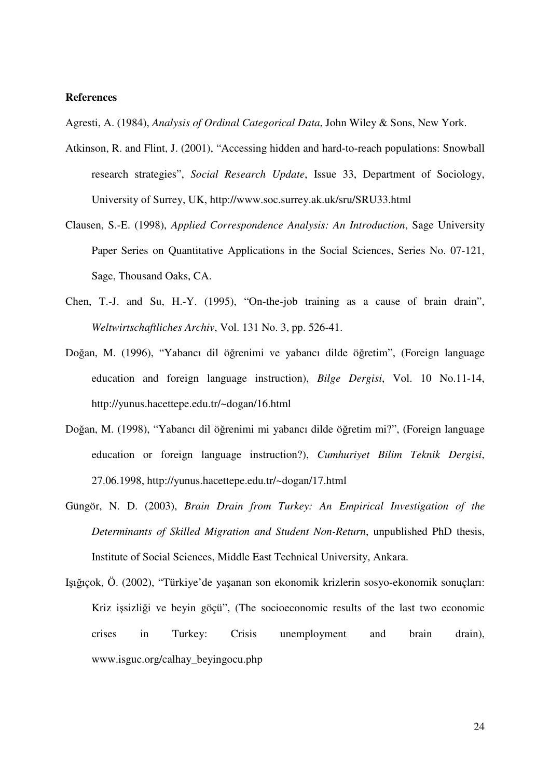## **References**

Agresti, A. (1984), *Analysis of Ordinal Categorical Data*, John Wiley & Sons, New York.

- Atkinson, R. and Flint, J. (2001), "Accessing hidden and hard-to-reach populations: Snowball research strategies", *Social Research Update*, Issue 33, Department of Sociology, University of Surrey, UK, http://www.soc.surrey.ak.uk/sru/SRU33.html
- Clausen, S.-E. (1998), *Applied Correspondence Analysis: An Introduction*, Sage University Paper Series on Quantitative Applications in the Social Sciences, Series No. 07-121, Sage, Thousand Oaks, CA.
- Chen, T.-J. and Su, H.-Y. (1995), "On-the-job training as a cause of brain drain", *Weltwirtschaftliches Archiv*, Vol. 131 No. 3, pp. 526-41.
- Doğan, M. (1996), "Yabancı dil öğrenimi ve yabancı dilde öğretim", (Foreign language education and foreign language instruction), *Bilge Dergisi*, Vol. 10 No.11-14, http://yunus.hacettepe.edu.tr/~dogan/16.html
- Doğan, M. (1998), "Yabancı dil öğrenimi mi yabancı dilde öğretim mi?", (Foreign language education or foreign language instruction?), *Cumhuriyet Bilim Teknik Dergisi*, 27.06.1998, http://yunus.hacettepe.edu.tr/~dogan/17.html
- Güngör, N. D. (2003), *Brain Drain from Turkey: An Empirical Investigation of the Determinants of Skilled Migration and Student Non-Return*, unpublished PhD thesis, Institute of Social Sciences, Middle East Technical University, Ankara.
- Işığıçok, Ö. (2002), "Türkiye'de yaşanan son ekonomik krizlerin sosyo-ekonomik sonuçları: Kriz işsizliği ve beyin göçü", (The socioeconomic results of the last two economic crises in Turkey: Crisis unemployment and brain drain), www.isguc.org/calhay\_beyingocu.php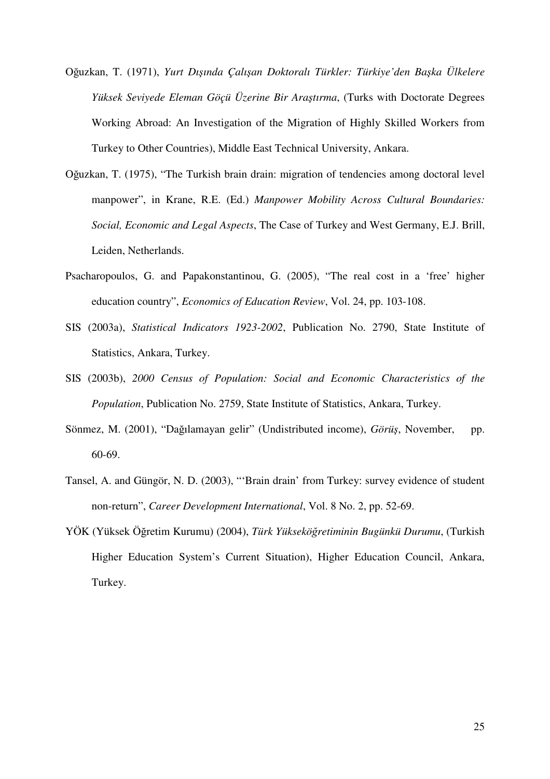- O-uzkan, T. (1971), *Yurt Dıında Çalıan Doktoralı Türkler: Türkiye'den Baka Ülkelere Yüksek Seviyede Eleman Göçü Üzerine Bir Aratırma*, (Turks with Doctorate Degrees Working Abroad: An Investigation of the Migration of Highly Skilled Workers from Turkey to Other Countries), Middle East Technical University, Ankara.
- Oğuzkan, T. (1975), "The Turkish brain drain: migration of tendencies among doctoral level manpower", in Krane, R.E. (Ed.) *Manpower Mobility Across Cultural Boundaries: Social, Economic and Legal Aspects*, The Case of Turkey and West Germany, E.J. Brill, Leiden, Netherlands.
- Psacharopoulos, G. and Papakonstantinou, G. (2005), "The real cost in a 'free' higher education country", *Economics of Education Review*, Vol. 24, pp. 103-108.
- SIS (2003a), *Statistical Indicators 1923-2002*, Publication No. 2790, State Institute of Statistics, Ankara, Turkey.
- SIS (2003b), *2000 Census of Population: Social and Economic Characteristics of the Population*, Publication No. 2759, State Institute of Statistics, Ankara, Turkey.
- Sönmez, M. (2001), "Dağılamayan gelir" (Undistributed income), Görüş, November, pp. 60-69.
- Tansel, A. and Güngör, N. D. (2003), "'Brain drain' from Turkey: survey evidence of student non-return", *Career Development International*, Vol. 8 No. 2, pp. 52-69.
- YÖK (Yüksek Öğretim Kurumu) (2004), *Türk Yükseköğretiminin Bugünkü Durumu*, (Turkish Higher Education System's Current Situation), Higher Education Council, Ankara, Turkey.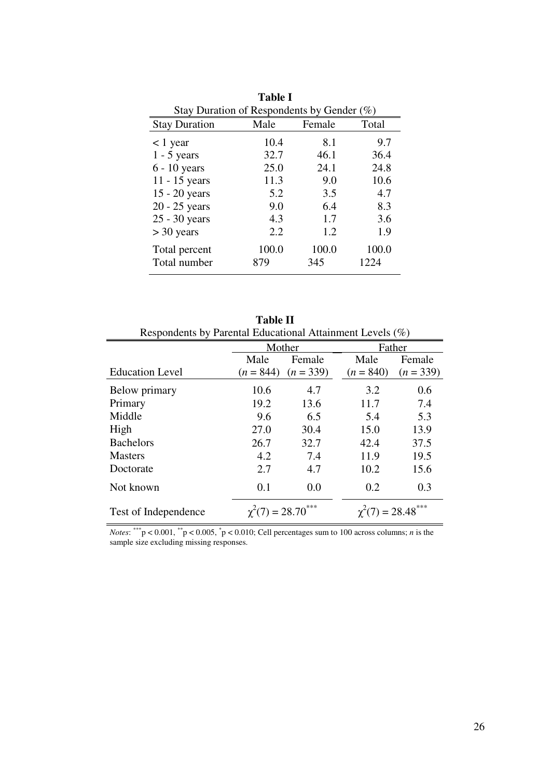| Stay Duration of Respondents by Gender $(\%)$ |              |              |               |  |  |  |
|-----------------------------------------------|--------------|--------------|---------------|--|--|--|
| <b>Stay Duration</b>                          | Male         | Female       | Total         |  |  |  |
| $<$ 1 year                                    | 10.4         | 8.1          | 9.7           |  |  |  |
| $1 - 5$ years                                 | 32.7         | 46.1         | 36.4          |  |  |  |
| $6 - 10$ years                                | 25.0         | 24.1         | 24.8          |  |  |  |
| $11 - 15$ years                               | 11.3         | 9.0          | 10.6          |  |  |  |
| $15 - 20$ years                               | 5.2          | 3.5          | 4.7           |  |  |  |
| $20 - 25$ years                               | 9.0          | 6.4          | 8.3           |  |  |  |
| $25 - 30$ years                               | 4.3          | 1.7          | 3.6           |  |  |  |
| $> 30$ years                                  | 2.2          | 1.2          | 1.9           |  |  |  |
| Total percent<br>Total number                 | 100.0<br>879 | 100.0<br>345 | 100.0<br>1224 |  |  |  |

**Table I**

**Table II** Respondents by Parental Educational Attainment Levels (%) Mother Father<br>
Example Male Fe Male Female Male Female Education Level  $(n = 844)$   $(n = 339)$   $(n = 840)$   $(n = 339)$ Below primary Primary 10.6 4.7 3.2 0.6 Middle 19.2 13.6 11.7 7.4 ......................................... High 9.6 6.5 5.4 5.3 Bachelors and the set of the set of the set of the set of the set of the set of the set of the set of the set o 27.0 30.4 15.0 13.9 **Masters** 26.7 32.7 42.4 37.5 Doctorate 4.2 7.4 11.9 19.5 Not known 2.7 4.7 10.2 15.6 0.1 0.0 0.2 0.3 Test of Independence  $^{2}(7) = 28.70$ <sup>\*\*\*</sup>  $\chi^2(7) = 28.48$ \*\*\*

*Notes*:  $\binom{***}{p}$  < 0.001,  $\binom{*}{p}$  < 0.005,  $\binom{*}{p}$  < 0.010; Cell percentages sum to 100 across columns; *n* is the sample size excluding missing responses.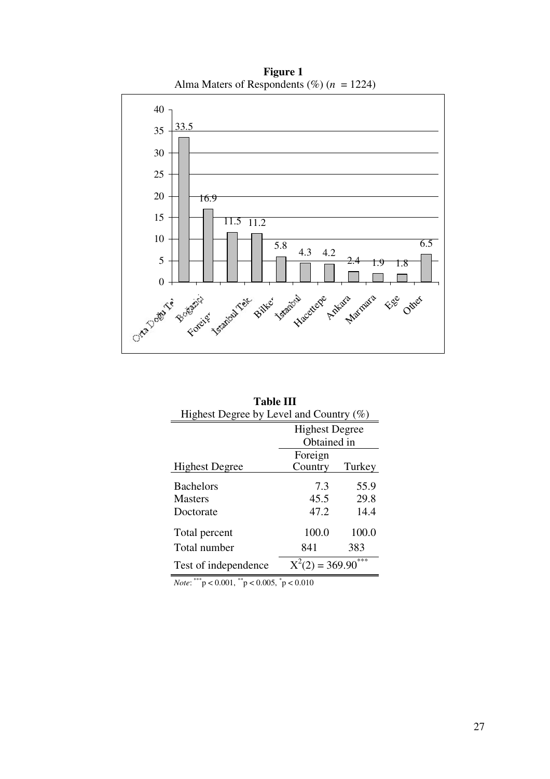

**Figure 1** Alma Maters of Respondents (%) (*n* = 1224)

| тане пі                                    |                       |        |  |  |  |
|--------------------------------------------|-----------------------|--------|--|--|--|
| Highest Degree by Level and Country $(\%)$ |                       |        |  |  |  |
|                                            | <b>Highest Degree</b> |        |  |  |  |
|                                            | Obtained in           |        |  |  |  |
|                                            | Foreign               |        |  |  |  |
| <b>Highest Degree</b>                      | Country               | Turkey |  |  |  |
| <b>Bachelors</b>                           | 7.3                   | 55.9   |  |  |  |
| <b>Masters</b>                             | 45.5                  | 29.8   |  |  |  |
| Doctorate                                  | 47.2                  | 14.4   |  |  |  |
| Total percent                              | 100.0                 | 100.0  |  |  |  |
| Total number                               | 841                   | 383    |  |  |  |
| Test of independence                       | $X^2(2) = 369.90$     | ***    |  |  |  |

**Table III**

*Note*: \*\*\*p < 0.001, \*\*p < 0.005, \*p < 0.010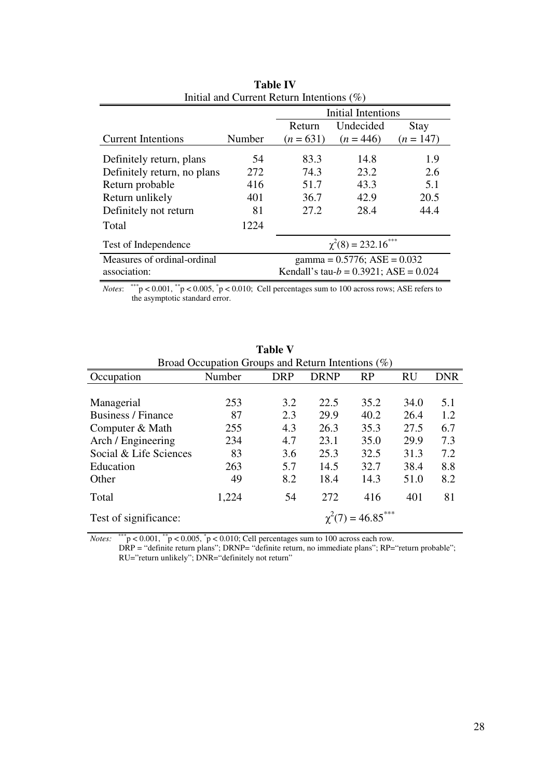| Initial and Current Return Intentions $(\%)$            |                    |                                                                               |              |             |  |  |  |
|---------------------------------------------------------|--------------------|-------------------------------------------------------------------------------|--------------|-------------|--|--|--|
|                                                         | Initial Intentions |                                                                               |              |             |  |  |  |
| Undecided<br>Return<br>Stay                             |                    |                                                                               |              |             |  |  |  |
| <b>Current Intentions</b>                               | Number             | $(n = 631)$                                                                   | $(n = 446)$  | $(n = 147)$ |  |  |  |
| Definitely return, plans<br>Definitely return, no plans | 54<br>272          | 83.3<br>74.3                                                                  | 14.8<br>23.2 | 1.9<br>2.6  |  |  |  |
| Return probable                                         | 416                | 51.7                                                                          | 43.3         | 5.1         |  |  |  |
| Return unlikely                                         | 401                | 36.7                                                                          | 42.9         | 20.5        |  |  |  |
| Definitely not return                                   | 81                 | 27.2                                                                          | 28.4         | 44.4        |  |  |  |
| Total                                                   | 1224               |                                                                               |              |             |  |  |  |
| Test of Independence                                    |                    | $\chi^2(8) = 232.16^{***}$                                                    |              |             |  |  |  |
| Measures of ordinal-ordinal<br>association:             |                    | gamma = $0.5776$ ; ASE = $0.032$<br>Kendall's tau- $b = 0.3921$ ; ASE = 0.024 |              |             |  |  |  |

**Table IV**

Notes: \*\*\*p < 0.001, \*\*p < 0.005, \*p < 0.010; Cell percentages sum to 100 across rows; ASE refers to the asymptotic standard error.

| тамс у                                               |        |     |             |                         |           |            |  |
|------------------------------------------------------|--------|-----|-------------|-------------------------|-----------|------------|--|
| Broad Occupation Groups and Return Intentions $(\%)$ |        |     |             |                         |           |            |  |
| Occupation                                           | Number | DRP | <b>DRNP</b> | <b>RP</b>               | <b>RU</b> | <b>DNR</b> |  |
|                                                      |        |     |             |                         |           |            |  |
| Managerial                                           | 253    | 3.2 | 22.5        | 35.2                    | 34.0      | 5.1        |  |
| Business / Finance                                   | 87     | 2.3 | 29.9        | 40.2                    | 26.4      | 1.2        |  |
| Computer & Math                                      | 255    | 4.3 | 26.3        | 35.3                    | 27.5      | 6.7        |  |
| Arch / Engineering                                   | 234    | 4.7 | 23.1        | 35.0                    | 29.9      | 7.3        |  |
| Social & Life Sciences                               | 83     | 3.6 | 25.3        | 32.5                    | 31.3      | 7.2        |  |
| Education                                            | 263    | 5.7 | 14.5        | 32.7                    | 38.4      | 8.8        |  |
| Other                                                | 49     | 8.2 | 18.4        | 14.3                    | 51.0      | 8.2        |  |
| Total                                                | 1,224  | 54  | 272         | 416                     | 401       | 81         |  |
| Test of significance:                                |        |     |             | $\chi^2(7) = 46.85$ *** |           |            |  |

**Table V**

*Notes:* \*\*\*p < 0.001,  $*$ <sup>\*</sup>p < 0.005,  $*$ p < 0.010; Cell percentages sum to 100 across each row.

DRP = "definite return plans"; DRNP= "definite return, no immediate plans"; RP="return probable"; RU="return unlikely"; DNR="definitely not return"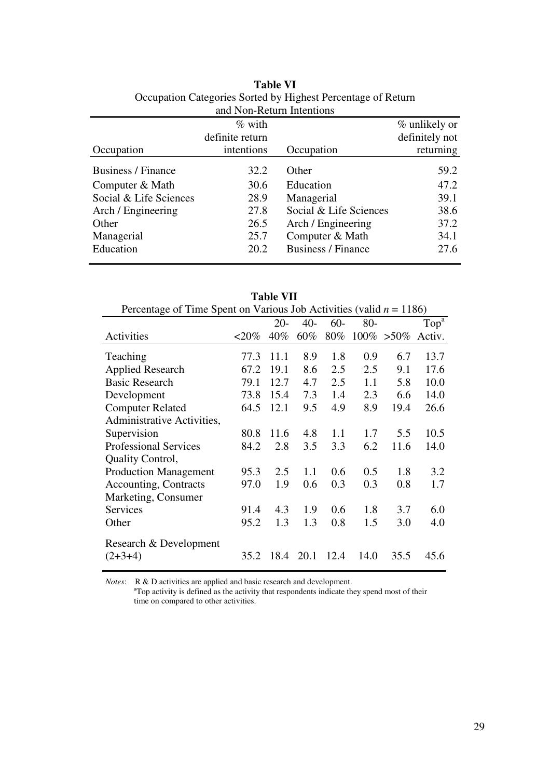| and Non-Return Intentions |                 |                           |                |  |  |
|---------------------------|-----------------|---------------------------|----------------|--|--|
|                           | $%$ with        |                           | % unlikely or  |  |  |
|                           | definite return |                           | definitely not |  |  |
| Occupation                | intentions      | Occupation                | returning      |  |  |
| <b>Business / Finance</b> | 32.2            | Other                     | 59.2           |  |  |
| Computer & Math           | 30.6            | Education                 | 47.2           |  |  |
| Social & Life Sciences    | 28.9            | Managerial                | 39.1           |  |  |
| Arch / Engineering        | 27.8            | Social & Life Sciences    | 38.6           |  |  |
| Other                     | 26.5            | Arch / Engineering        | 37.2           |  |  |
| Managerial                | 25.7            | Computer & Math           | 34.1           |  |  |
| Education                 | 20.2            | <b>Business / Finance</b> | 27.6           |  |  |
|                           |                 |                           |                |  |  |

| <b>Table VI</b>                                              |
|--------------------------------------------------------------|
| Occupation Categories Sorted by Highest Percentage of Return |
| and Non-Return Intentions                                    |

|                                                                        |           | таріе у п |       |        |       |                |                  |
|------------------------------------------------------------------------|-----------|-----------|-------|--------|-------|----------------|------------------|
| Percentage of Time Spent on Various Job Activities (valid $n = 1186$ ) |           |           |       |        |       |                |                  |
|                                                                        |           | $20 -$    | $40-$ | $60 -$ | $80-$ |                | Top <sup>a</sup> |
| Activities                                                             | ${<}20\%$ | 40%       | 60%   | $80\%$ |       | $100\% > 50\%$ | Activ.           |
| Teaching                                                               | 77.3      | 11.1      | 8.9   | 1.8    | 0.9   | 6.7            | 13.7             |
| <b>Applied Research</b>                                                | 67.2      | 19.1      | 8.6   | 2.5    | 2.5   | 9.1            | 17.6             |
| <b>Basic Research</b>                                                  | 79.1      | 12.7      | 4.7   | 2.5    | 1.1   | 5.8            | 10.0             |
| Development                                                            | 73.8      | 15.4      | 7.3   | 1.4    | 2.3   | 6.6            | 14.0             |
| <b>Computer Related</b>                                                | 64.5      | 12.1      | 9.5   | 4.9    | 8.9   | 19.4           | 26.6             |
| Administrative Activities,                                             |           |           |       |        |       |                |                  |
| Supervision                                                            | 80.8      | 11.6      | 4.8   | 1.1    | 1.7   | 5.5            | 10.5             |
| <b>Professional Services</b>                                           | 84.2      | 2.8       | 3.5   | 3.3    | 6.2   | 11.6           | 14.0             |
| Quality Control,                                                       |           |           |       |        |       |                |                  |
| <b>Production Management</b>                                           | 95.3      | 2.5       | 1.1   | 0.6    | 0.5   | 1.8            | 3.2              |
| <b>Accounting, Contracts</b>                                           | 97.0      | 1.9       | 0.6   | 0.3    | 0.3   | 0.8            | 1.7              |
| Marketing, Consumer                                                    |           |           |       |        |       |                |                  |
| <b>Services</b>                                                        | 91.4      | 4.3       | 1.9   | 0.6    | 1.8   | 3.7            | 6.0              |
| Other                                                                  | 95.2      | 1.3       | 1.3   | 0.8    | 1.5   | 3.0            | 4.0              |
| Research & Development                                                 |           |           |       |        |       |                |                  |
| $(2+3+4)$                                                              | 35.2      | 18.4      | 20.1  | 12.4   | 14.0  | 35.5           | 45.6             |

**Table VII**

*Notes*: R & D activities are applied and basic research and development. <sup>a</sup>Top activity is defined as the activity that respondents indicate they spend most of their time on compared to other activities.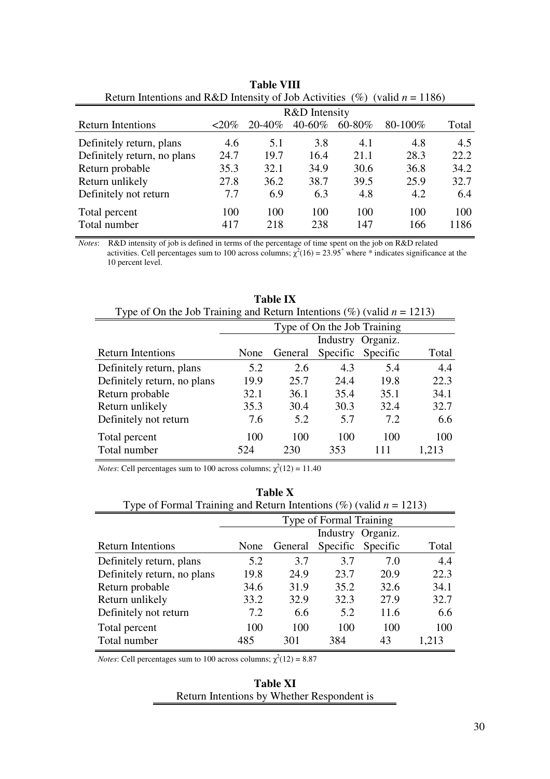|                               | Return intentions and R&D intensity of Job Activities<br>$\gamma$ o j<br>(Valid $n = 1180$ ) |            |               |            |            |             |  |
|-------------------------------|----------------------------------------------------------------------------------------------|------------|---------------|------------|------------|-------------|--|
|                               |                                                                                              |            | R&D Intensity |            |            |             |  |
| <b>Return Intentions</b>      | ${<}20\%$                                                                                    | 20-40%     | 40-60%        | 60-80%     | 80-100%    | Total       |  |
| Definitely return, plans      | 4.6                                                                                          | 5.1        | 3.8           | 4.1        | 4.8        | 4.5         |  |
| Definitely return, no plans   | 24.7                                                                                         | 19.7       | 16.4          | 21.1       | 28.3       | 22.2        |  |
| Return probable               | 35.3                                                                                         | 32.1       | 34.9          | 30.6       | 36.8       | 34.2        |  |
| Return unlikely               | 27.8                                                                                         | 36.2       | 38.7          | 39.5       | 25.9       | 32.7        |  |
| Definitely not return         | 7.7                                                                                          | 6.9        | 6.3           | 4.8        | 4.2        | 6.4         |  |
| Total percent<br>Total number | 100<br>417                                                                                   | 100<br>218 | 100<br>238    | 100<br>147 | 100<br>166 | 100<br>1186 |  |

**Table VIII** Return Intentions and R&D Intensity of Job Activities (%) (valid *n* = 1186)

*Notes*: R&D intensity of job is defined in terms of the percentage of time spent on the job on R&D related activities. Cell percentages sum to 100 across columns;  $\chi^2(16) = 23.95^*$  where  $*$  indicates significance at the 10 percent level.

| Type of On the Job Training and Return Intentions (%) (valid $n = 1213$ ) |                             |         |          |          |       |
|---------------------------------------------------------------------------|-----------------------------|---------|----------|----------|-------|
|                                                                           | Type of On the Job Training |         |          |          |       |
|                                                                           | Industry Organiz.           |         |          |          |       |
| <b>Return Intentions</b>                                                  | None                        | General | Specific | Specific | Total |
| Definitely return, plans                                                  | 5.2                         | 2.6     | 4.3      | 5.4      | 4.4   |
| Definitely return, no plans                                               | 19.9                        | 25.7    | 24.4     | 19.8     | 22.3  |
| Return probable                                                           | 32.1                        | 36.1    | 35.4     | 35.1     | 34.1  |
| Return unlikely                                                           | 35.3                        | 30.4    | 30.3     | 32.4     | 32.7  |
| Definitely not return                                                     | 7.6                         | 5.2     | 5.7      | 7.2      | 6.6   |
| Total percent                                                             | 100                         | 100     | 100      | 100      | 100   |
| Total number                                                              | 524                         | 230     | 353      | 111      | 1.213 |

**Table IX**

*Notes*: Cell percentages sum to 100 across columns;  $\chi^2(12) = 11.40$ 

| <b>Table X</b>                                                           |                         |         |          |          |       |  |
|--------------------------------------------------------------------------|-------------------------|---------|----------|----------|-------|--|
| Type of Formal Training and Return Intentions $(\%)$ (valid $n = 1213$ ) |                         |         |          |          |       |  |
|                                                                          | Type of Formal Training |         |          |          |       |  |
|                                                                          | Industry Organiz.       |         |          |          |       |  |
| <b>Return Intentions</b>                                                 | None                    | General | Specific | Specific | Total |  |
| Definitely return, plans                                                 | 5.2                     | 3.7     | 3.7      | 7.0      | 4.4   |  |
| Definitely return, no plans                                              | 19.8                    | 24.9    | 23.7     | 20.9     | 22.3  |  |
| Return probable                                                          | 34.6                    | 31.9    | 35.2     | 32.6     | 34.1  |  |
| Return unlikely                                                          | 33.2                    | 32.9    | 32.3     | 27.9     | 32.7  |  |
| Definitely not return                                                    | 7.2                     | 6.6     | 5.2      | 11.6     | 6.6   |  |
| Total percent                                                            | 100                     | 100     | 100      | 100      | 100   |  |
| Total number                                                             | 485                     | 301     | 384      | 43       | 1 213 |  |

*Notes*: Cell percentages sum to 100 across columns;  $\chi^2(12) = 8.87$ 

**Table XI** Return Intentions by Whether Respondent is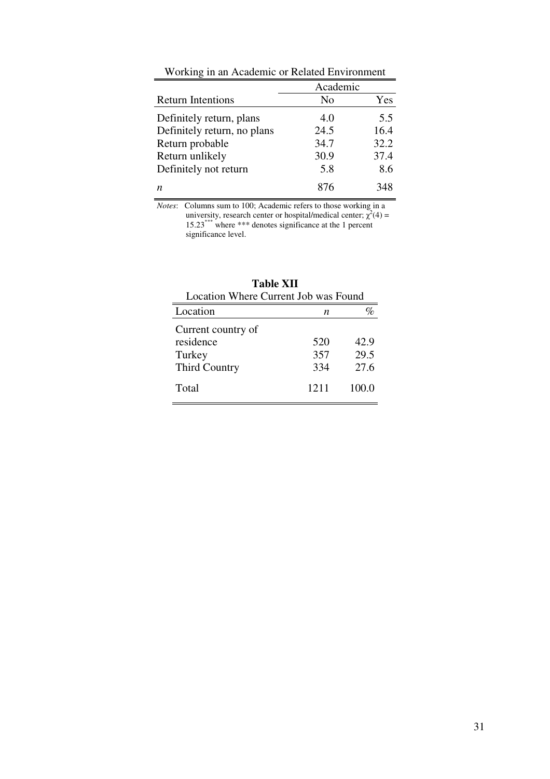| Working in an Academic or Related Environment |          |      |  |  |  |
|-----------------------------------------------|----------|------|--|--|--|
|                                               | Academic |      |  |  |  |
| <b>Return Intentions</b>                      | No       | Yes  |  |  |  |
| Definitely return, plans                      | 4.0      | 5.5  |  |  |  |
| Definitely return, no plans                   | 24.5     | 16.4 |  |  |  |
| Return probable                               | 34.7     | 32.2 |  |  |  |
| Return unlikely                               | 30.9     | 37.4 |  |  |  |
| Definitely not return                         | 5.8      | 8.6  |  |  |  |
| n                                             | 876      | 348  |  |  |  |

*Notes*: Columns sum to 100; Academic refers to those working in a university, research center or hospital/medical center;  $\chi^2(4)$  = 15.23<sup>\*\*\*</sup> where \*\*\* denotes significance at the 1 percent significance level.

| Location Where Current Job was Found |      |       |  |  |  |
|--------------------------------------|------|-------|--|--|--|
| Location                             | n    |       |  |  |  |
| Current country of                   |      |       |  |  |  |
| residence                            | 520  | 42.9  |  |  |  |
| Turkey                               | 357  | 29.5  |  |  |  |
| <b>Third Country</b>                 | 334  | 27.6  |  |  |  |
| Total                                | 1211 | 100.0 |  |  |  |

| <b>Table XII</b>                     |
|--------------------------------------|
| Location Where Current Job was Found |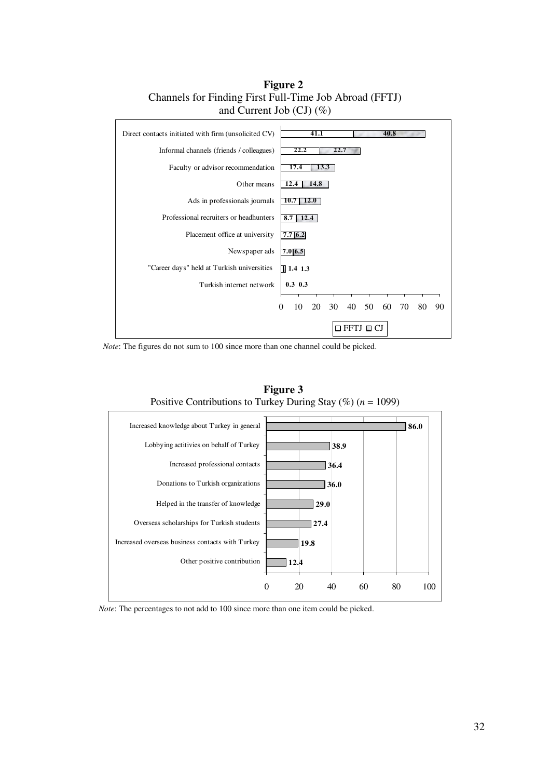

**Figure 2** Channels for Finding First Full-Time Job Abroad (FFTJ) and Current Job (CJ) (%)

*Note*: The figures do not sum to 100 since more than one channel could be picked.



**Figure 3** Positive Contributions to Turkey During Stay (%) (*n* = 1099)

*Note*: The percentages to not add to 100 since more than one item could be picked.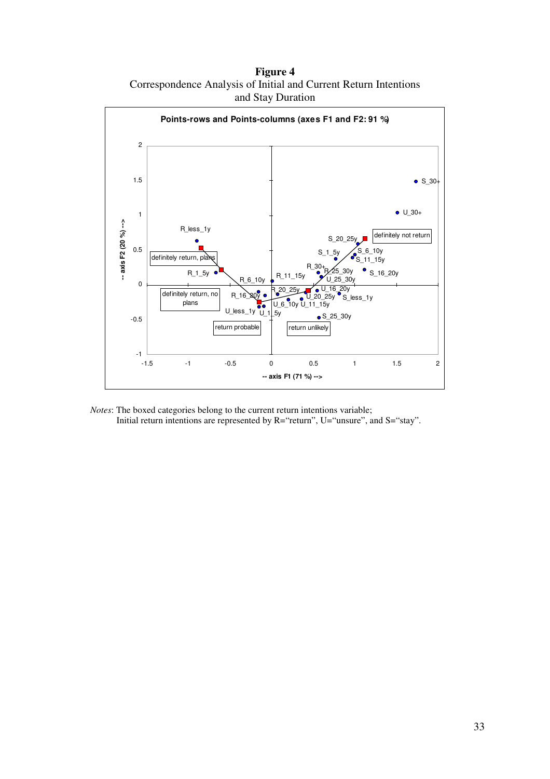**Figure 4** Correspondence Analysis of Initial and Current Return Intentions and Stay Duration



*Notes*: The boxed categories belong to the current return intentions variable; Initial return intentions are represented by R="return", U="unsure", and S="stay".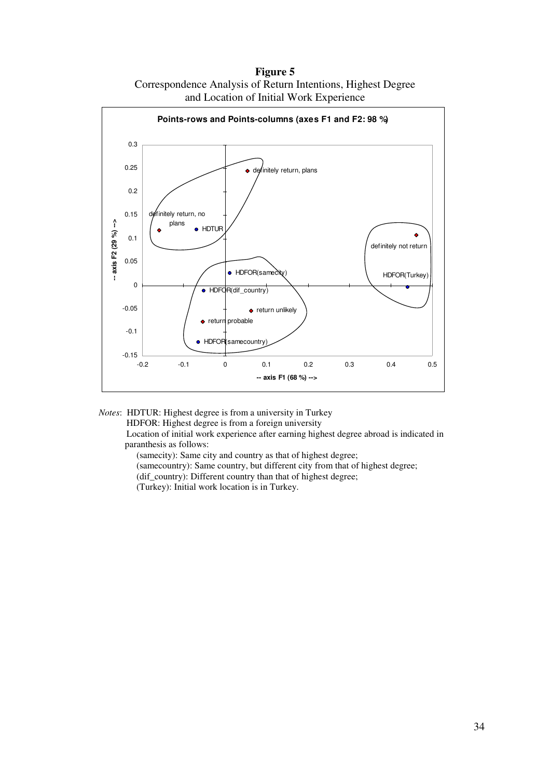**Figure 5** Correspondence Analysis of Return Intentions, Highest Degree and Location of Initial Work Experience



*Notes*: HDTUR: Highest degree is from a university in Turkey HDFOR: Highest degree is from a foreign university Location of initial work experience after earning highest degree abroad is indicated in paranthesis as follows:

(samecity): Same city and country as that of highest degree;

(samecountry): Same country, but different city from that of highest degree;

(dif\_country): Different country than that of highest degree;

(Turkey): Initial work location is in Turkey.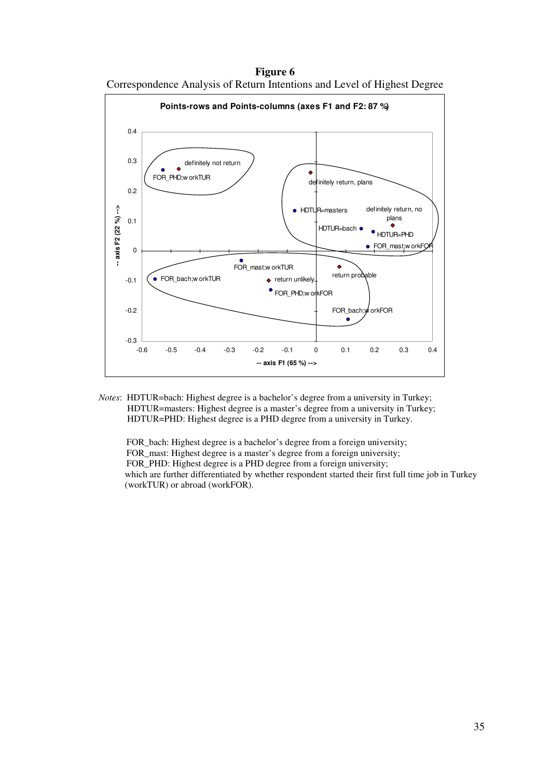

**Figure 6** Correspondence Analysis of Return Intentions and Level of Highest Degree

*Notes*: HDTUR=bach: Highest degree is a bachelor's degree from a university in Turkey; HDTUR=masters: Highest degree is a master's degree from a university in Turkey; HDTUR=PHD: Highest degree is a PHD degree from a university in Turkey.

FOR bach: Highest degree is a bachelor's degree from a foreign university; FOR\_mast: Highest degree is a master's degree from a foreign university; FOR\_PHD: Highest degree is a PHD degree from a foreign university; which are further differentiated by whether respondent started their first full time job in Turkey (workTUR) or abroad (workFOR).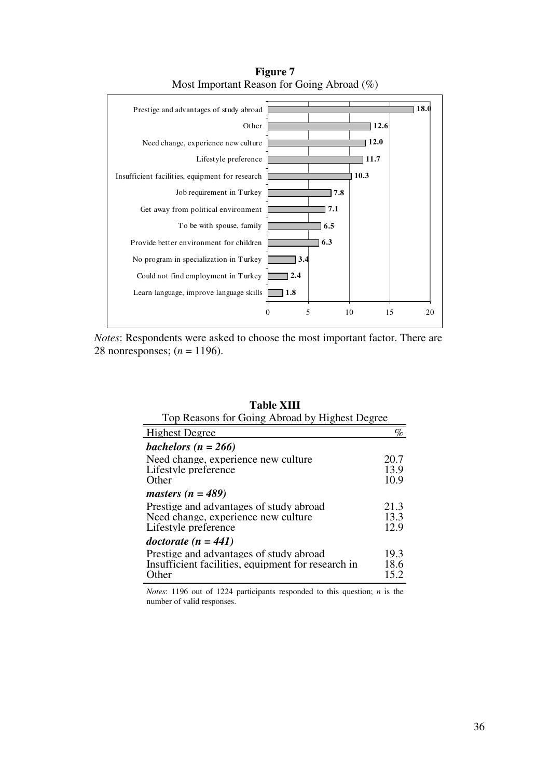

**Figure 7** Most Important Reason for Going Abroad (%)

*Notes*: Respondents were asked to choose the most important factor. There are 28 nonresponses; (*n* = 1196).

| Table XIII                                                                                              |                      |  |  |  |  |
|---------------------------------------------------------------------------------------------------------|----------------------|--|--|--|--|
| Top Reasons for Going Abroad by Highest Degree                                                          |                      |  |  |  |  |
| <b>Highest Degree</b>                                                                                   | $\%$                 |  |  |  |  |
| bachelors ( $n = 266$ )                                                                                 |                      |  |  |  |  |
| Need change, experience new culture.<br>Lifestyle preference<br>Other                                   | 20.7<br>13.9<br>10.9 |  |  |  |  |
| masters ( $n = 489$ )                                                                                   |                      |  |  |  |  |
| Prestige and advantages of study abroad<br>Need change, experience new culture.<br>Lifestyle preference | 21.3<br>13.3<br>12.9 |  |  |  |  |
| doctorate $(n = 441)$                                                                                   |                      |  |  |  |  |
| Prestige and advantages of study abroad<br>Insufficient facilities, equipment for research in<br>Other  | 19.3<br>18.6<br>15.2 |  |  |  |  |

# **Table XIII**

*Notes*: 1196 out of 1224 participants responded to this question; *n* is the number of valid responses.